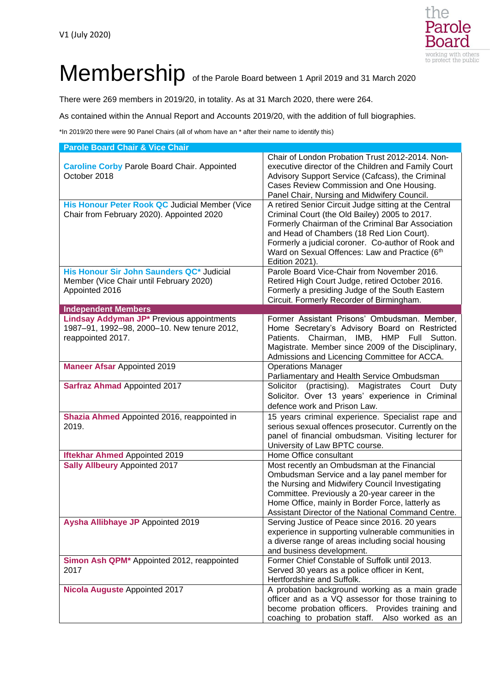

## Membership of the Parole Board between 1 April 2019 and 31 March 2020

There were 269 members in 2019/20, in totality. As at 31 March 2020, there were 264.

As contained within the Annual Report and Accounts 2019/20, with the addition of full biographies.

\*In 2019/20 there were 90 Panel Chairs (all of whom have an \* after their name to identify this)

| <b>Parole Board Chair &amp; Vice Chair</b>                                                                    |                                                                                                                                                                                                                                                                                                                                    |
|---------------------------------------------------------------------------------------------------------------|------------------------------------------------------------------------------------------------------------------------------------------------------------------------------------------------------------------------------------------------------------------------------------------------------------------------------------|
| <b>Caroline Corby Parole Board Chair. Appointed</b><br>October 2018                                           | Chair of London Probation Trust 2012-2014. Non-<br>executive director of the Children and Family Court<br>Advisory Support Service (Cafcass), the Criminal<br>Cases Review Commission and One Housing.<br>Panel Chair, Nursing and Midwifery Council.                                                                              |
| His Honour Peter Rook QC Judicial Member (Vice<br>Chair from February 2020). Appointed 2020                   | A retired Senior Circuit Judge sitting at the Central<br>Criminal Court (the Old Bailey) 2005 to 2017.<br>Formerly Chairman of the Criminal Bar Association<br>and Head of Chambers (18 Red Lion Court).<br>Formerly a judicial coroner. Co-author of Rook and<br>Ward on Sexual Offences: Law and Practice (6th<br>Edition 2021). |
| His Honour Sir John Saunders QC* Judicial<br>Member (Vice Chair until February 2020)<br>Appointed 2016        | Parole Board Vice-Chair from November 2016.<br>Retired High Court Judge, retired October 2016.<br>Formerly a presiding Judge of the South Eastern<br>Circuit. Formerly Recorder of Birmingham.                                                                                                                                     |
| <b>Independent Members</b>                                                                                    |                                                                                                                                                                                                                                                                                                                                    |
| Lindsay Addyman JP* Previous appointments<br>1987-91, 1992-98, 2000-10. New tenure 2012,<br>reappointed 2017. | Former Assistant Prisons' Ombudsman. Member,<br>Home Secretary's Advisory Board on Restricted<br>Patients. Chairman, IMB, HMP Full Sutton.<br>Magistrate. Member since 2009 of the Disciplinary,<br>Admissions and Licencing Committee for ACCA.                                                                                   |
| <b>Maneer Afsar Appointed 2019</b>                                                                            | <b>Operations Manager</b><br>Parliamentary and Health Service Ombudsman                                                                                                                                                                                                                                                            |
| <b>Sarfraz Ahmad Appointed 2017</b>                                                                           | Solicitor (practising). Magistrates Court Duty<br>Solicitor. Over 13 years' experience in Criminal<br>defence work and Prison Law.                                                                                                                                                                                                 |
| Shazia Ahmed Appointed 2016, reappointed in<br>2019.                                                          | 15 years criminal experience. Specialist rape and<br>serious sexual offences prosecutor. Currently on the<br>panel of financial ombudsman. Visiting lecturer for<br>University of Law BPTC course.                                                                                                                                 |
| <b>Iftekhar Ahmed Appointed 2019</b>                                                                          | Home Office consultant                                                                                                                                                                                                                                                                                                             |
| <b>Sally Allbeury Appointed 2017</b>                                                                          | Most recently an Ombudsman at the Financial<br>Ombudsman Service and a lay panel member for<br>the Nursing and Midwifery Council Investigating<br>Committee. Previously a 20-year career in the<br>Home Office, mainly in Border Force, latterly as<br>Assistant Director of the National Command Centre.                          |
| Aysha Allibhaye JP Appointed 2019                                                                             | Serving Justice of Peace since 2016. 20 years<br>experience in supporting vulnerable communities in<br>a diverse range of areas including social housing<br>and business development.                                                                                                                                              |
| Simon Ash QPM <sup>*</sup> Appointed 2012, reappointed<br>2017                                                | Former Chief Constable of Suffolk until 2013.<br>Served 30 years as a police officer in Kent,<br>Hertfordshire and Suffolk.                                                                                                                                                                                                        |
| <b>Nicola Auguste Appointed 2017</b>                                                                          | A probation background working as a main grade<br>officer and as a VQ assessor for those training to<br>become probation officers. Provides training and<br>coaching to probation staff.<br>Also worked as an                                                                                                                      |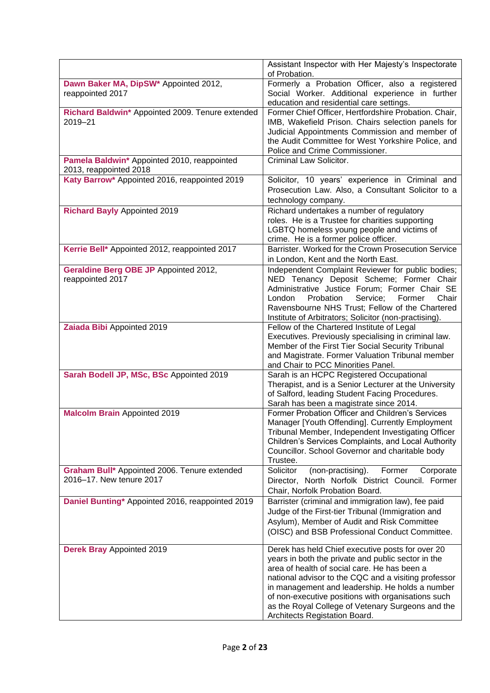|                                                                          | Assistant Inspector with Her Majesty's Inspectorate<br>of Probation.                                                                                                                                                                                                                                                                                                                                          |
|--------------------------------------------------------------------------|---------------------------------------------------------------------------------------------------------------------------------------------------------------------------------------------------------------------------------------------------------------------------------------------------------------------------------------------------------------------------------------------------------------|
| Dawn Baker MA, DipSW <sup>*</sup> Appointed 2012,<br>reappointed 2017    | Formerly a Probation Officer, also a registered<br>Social Worker. Additional experience in further<br>education and residential care settings.                                                                                                                                                                                                                                                                |
| Richard Baldwin* Appointed 2009. Tenure extended<br>2019-21              | Former Chief Officer, Hertfordshire Probation. Chair,<br>IMB, Wakefield Prison. Chairs selection panels for<br>Judicial Appointments Commission and member of<br>the Audit Committee for West Yorkshire Police, and<br>Police and Crime Commissioner.                                                                                                                                                         |
| Pamela Baldwin* Appointed 2010, reappointed<br>2013, reappointed 2018    | Criminal Law Solicitor.                                                                                                                                                                                                                                                                                                                                                                                       |
| Katy Barrow* Appointed 2016, reappointed 2019                            | Solicitor, 10 years' experience in Criminal and<br>Prosecution Law. Also, a Consultant Solicitor to a<br>technology company.                                                                                                                                                                                                                                                                                  |
| <b>Richard Bayly Appointed 2019</b>                                      | Richard undertakes a number of regulatory<br>roles. He is a Trustee for charities supporting<br>LGBTQ homeless young people and victims of<br>crime. He is a former police officer.                                                                                                                                                                                                                           |
| Kerrie Bell* Appointed 2012, reappointed 2017                            | Barrister. Worked for the Crown Prosecution Service<br>in London, Kent and the North East.                                                                                                                                                                                                                                                                                                                    |
| Geraldine Berg OBE JP Appointed 2012,<br>reappointed 2017                | Independent Complaint Reviewer for public bodies;<br>NED Tenancy Deposit Scheme; Former Chair<br>Administrative Justice Forum; Former Chair SE<br>London<br>Probation<br>Service;<br>Former<br>Chair<br>Ravensbourne NHS Trust; Fellow of the Chartered<br>Institute of Arbitrators; Solicitor (non-practising).                                                                                              |
| Zaiada Bibi Appointed 2019                                               | Fellow of the Chartered Institute of Legal<br>Executives. Previously specialising in criminal law.<br>Member of the First Tier Social Security Tribunal<br>and Magistrate. Former Valuation Tribunal member<br>and Chair to PCC Minorities Panel.                                                                                                                                                             |
| Sarah Bodell JP, MSc, BSc Appointed 2019                                 | Sarah is an HCPC Registered Occupational<br>Therapist, and is a Senior Lecturer at the University<br>of Salford, leading Student Facing Procedures.<br>Sarah has been a magistrate since 2014.                                                                                                                                                                                                                |
| <b>Malcolm Brain Appointed 2019</b>                                      | Former Probation Officer and Children's Services<br>Manager [Youth Offending]. Currently Employment<br>Tribunal Member, Independent Investigating Officer<br>Children's Services Complaints, and Local Authority<br>Councillor. School Governor and charitable body<br>Trustee.                                                                                                                               |
| Graham Bull* Appointed 2006. Tenure extended<br>2016-17. New tenure 2017 | Solicitor<br>(non-practising).<br>Former<br>Corporate<br>Director, North Norfolk District Council. Former<br>Chair, Norfolk Probation Board.                                                                                                                                                                                                                                                                  |
| Daniel Bunting* Appointed 2016, reappointed 2019                         | Barrister (criminal and immigration law), fee paid<br>Judge of the First-tier Tribunal (Immigration and<br>Asylum), Member of Audit and Risk Committee<br>(OISC) and BSB Professional Conduct Committee.                                                                                                                                                                                                      |
| <b>Derek Bray Appointed 2019</b>                                         | Derek has held Chief executive posts for over 20<br>years in both the private and public sector in the<br>area of health of social care. He has been a<br>national advisor to the CQC and a visiting professor<br>in management and leadership. He holds a number<br>of non-executive positions with organisations such<br>as the Royal College of Vetenary Surgeons and the<br>Architects Registation Board. |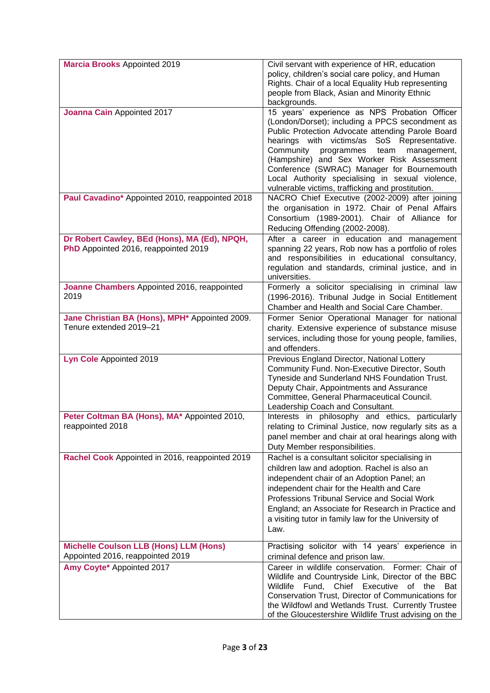| <b>Marcia Brooks Appointed 2019</b>                                                   | Civil servant with experience of HR, education<br>policy, children's social care policy, and Human<br>Rights. Chair of a local Equality Hub representing<br>people from Black, Asian and Minority Ethnic<br>backgrounds.                                                                                                                                                                                                                                     |
|---------------------------------------------------------------------------------------|--------------------------------------------------------------------------------------------------------------------------------------------------------------------------------------------------------------------------------------------------------------------------------------------------------------------------------------------------------------------------------------------------------------------------------------------------------------|
| Joanna Cain Appointed 2017                                                            | 15 years' experience as NPS Probation Officer<br>(London/Dorset); including a PPCS secondment as<br>Public Protection Advocate attending Parole Board<br>hearings with victims/as SoS Representative.<br>Community<br>programmes<br>team<br>management,<br>(Hampshire) and Sex Worker Risk Assessment<br>Conference (SWRAC) Manager for Bournemouth<br>Local Authority specialising in sexual violence,<br>vulnerable victims, trafficking and prostitution. |
| Paul Cavadino* Appointed 2010, reappointed 2018                                       | NACRO Chief Executive (2002-2009) after joining<br>the organisation in 1972. Chair of Penal Affairs<br>Consortium (1989-2001). Chair of Alliance for<br>Reducing Offending (2002-2008).                                                                                                                                                                                                                                                                      |
| Dr Robert Cawley, BEd (Hons), MA (Ed), NPQH,<br>PhD Appointed 2016, reappointed 2019  | After a career in education and management<br>spanning 22 years, Rob now has a portfolio of roles<br>and responsibilities in educational consultancy,<br>regulation and standards, criminal justice, and in<br>universities.                                                                                                                                                                                                                                 |
| Joanne Chambers Appointed 2016, reappointed<br>2019                                   | Formerly a solicitor specialising in criminal law<br>(1996-2016). Tribunal Judge in Social Entitlement<br>Chamber and Health and Social Care Chamber.                                                                                                                                                                                                                                                                                                        |
| Jane Christian BA (Hons), MPH <sup>*</sup> Appointed 2009.<br>Tenure extended 2019-21 | Former Senior Operational Manager for national<br>charity. Extensive experience of substance misuse<br>services, including those for young people, families,<br>and offenders.                                                                                                                                                                                                                                                                               |
| Lyn Cole Appointed 2019                                                               | Previous England Director, National Lottery<br>Community Fund. Non-Executive Director, South<br>Tyneside and Sunderland NHS Foundation Trust.<br>Deputy Chair, Appointments and Assurance<br>Committee, General Pharmaceutical Council.<br>Leadership Coach and Consultant.                                                                                                                                                                                  |
| Peter Coltman BA (Hons), MA* Appointed 2010,<br>reappointed 2018                      | Interests in philosophy and ethics, particularly<br>relating to Criminal Justice, now regularly sits as a<br>panel member and chair at oral hearings along with<br>Duty Member responsibilities.                                                                                                                                                                                                                                                             |
| Rachel Cook Appointed in 2016, reappointed 2019                                       | Rachel is a consultant solicitor specialising in<br>children law and adoption. Rachel is also an<br>independent chair of an Adoption Panel; an<br>independent chair for the Health and Care<br>Professions Tribunal Service and Social Work<br>England; an Associate for Research in Practice and<br>a visiting tutor in family law for the University of<br>Law.                                                                                            |
| <b>Michelle Coulson LLB (Hons) LLM (Hons)</b><br>Appointed 2016, reappointed 2019     | Practising solicitor with 14 years' experience in<br>criminal defence and prison law.                                                                                                                                                                                                                                                                                                                                                                        |
| Amy Coyte* Appointed 2017                                                             | Career in wildlife conservation.<br>Former: Chair of<br>Wildlife and Countryside Link, Director of the BBC<br>Fund, Chief Executive<br>Wildlife<br>of the<br>Bat<br>Conservation Trust, Director of Communications for<br>the Wildfowl and Wetlands Trust. Currently Trustee<br>of the Gloucestershire Wildlife Trust advising on the                                                                                                                        |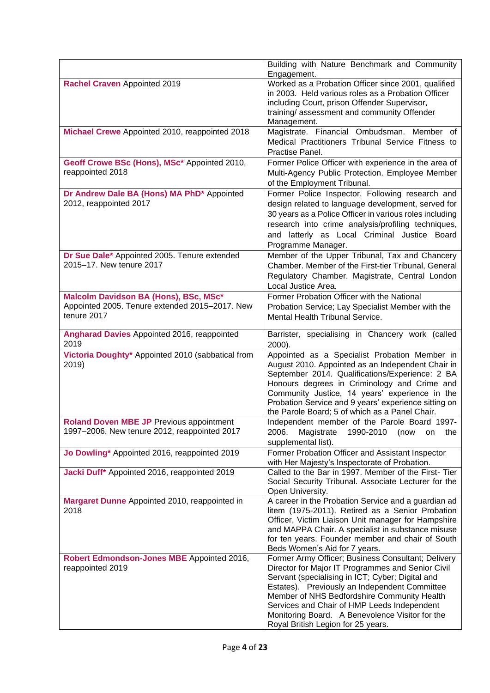|                                                                | Building with Nature Benchmark and Community                                                            |
|----------------------------------------------------------------|---------------------------------------------------------------------------------------------------------|
| Rachel Craven Appointed 2019                                   | Engagement.<br>Worked as a Probation Officer since 2001, qualified                                      |
|                                                                | in 2003. Held various roles as a Probation Officer<br>including Court, prison Offender Supervisor,      |
|                                                                | training/assessment and community Offender                                                              |
|                                                                | Management.                                                                                             |
| Michael Crewe Appointed 2010, reappointed 2018                 | Magistrate. Financial Ombudsman. Member of<br>Medical Practitioners Tribunal Service Fitness to         |
|                                                                | Practise Panel.                                                                                         |
| Geoff Crowe BSc (Hons), MSc* Appointed 2010,                   | Former Police Officer with experience in the area of                                                    |
| reappointed 2018                                               | Multi-Agency Public Protection. Employee Member<br>of the Employment Tribunal.                          |
| Dr Andrew Dale BA (Hons) MA PhD* Appointed                     | Former Police Inspector. Following research and                                                         |
| 2012, reappointed 2017                                         | design related to language development, served for                                                      |
|                                                                | 30 years as a Police Officer in various roles including                                                 |
|                                                                | research into crime analysis/profiling techniques,<br>and latterly as Local Criminal Justice Board      |
|                                                                | Programme Manager.                                                                                      |
| Dr Sue Dale* Appointed 2005. Tenure extended                   | Member of the Upper Tribunal, Tax and Chancery                                                          |
| 2015-17. New tenure 2017                                       | Chamber. Member of the First-tier Tribunal, General                                                     |
|                                                                | Regulatory Chamber. Magistrate, Central London<br>Local Justice Area.                                   |
| Malcolm Davidson BA (Hons), BSc, MSc*                          | Former Probation Officer with the National                                                              |
| Appointed 2005. Tenure extended 2015-2017. New                 | Probation Service; Lay Specialist Member with the                                                       |
| tenure 2017                                                    | Mental Health Tribunal Service.                                                                         |
| Angharad Davies Appointed 2016, reappointed<br>2019            | Barrister, specialising in Chancery work (called<br>$2000$ ).                                           |
| Victoria Doughty* Appointed 2010 (sabbatical from              | Appointed as a Specialist Probation Member in                                                           |
| 2019)                                                          | August 2010. Appointed as an Independent Chair in<br>September 2014. Qualifications/Experience: 2 BA    |
|                                                                | Honours degrees in Criminology and Crime and                                                            |
|                                                                | Community Justice, 14 years' experience in the                                                          |
|                                                                | Probation Service and 9 years' experience sitting on<br>the Parole Board; 5 of which as a Panel Chair.  |
| <b>Roland Doven MBE JP Previous appointment</b>                | Independent member of the Parole Board 1997-                                                            |
| 1997-2006. New tenure 2012, reappointed 2017                   | 2006.<br>Magistrate<br>1990-2010<br>(now<br>the<br>on<br>supplemental list).                            |
| Jo Dowling* Appointed 2016, reappointed 2019                   | Former Probation Officer and Assistant Inspector                                                        |
| Jacki Duff* Appointed 2016, reappointed 2019                   | with Her Majesty's Inspectorate of Probation.<br>Called to the Bar in 1997. Member of the First- Tier   |
|                                                                | Social Security Tribunal. Associate Lecturer for the<br>Open University.                                |
| Margaret Dunne Appointed 2010, reappointed in                  | A career in the Probation Service and a guardian ad                                                     |
| 2018                                                           | litem (1975-2011). Retired as a Senior Probation                                                        |
|                                                                | Officer, Victim Liaison Unit manager for Hampshire<br>and MAPPA Chair. A specialist in substance misuse |
|                                                                | for ten years. Founder member and chair of South                                                        |
|                                                                | Beds Women's Aid for 7 years.                                                                           |
| Robert Edmondson-Jones MBE Appointed 2016,<br>reappointed 2019 | Former Army Officer; Business Consultant; Delivery<br>Director for Major IT Programmes and Senior Civil |
|                                                                | Servant (specialising in ICT; Cyber; Digital and                                                        |
|                                                                | Estates). Previously an Independent Committee                                                           |
|                                                                | Member of NHS Bedfordshire Community Health<br>Services and Chair of HMP Leeds Independent              |
|                                                                | Monitoring Board. A Benevolence Visitor for the                                                         |
|                                                                | Royal British Legion for 25 years.                                                                      |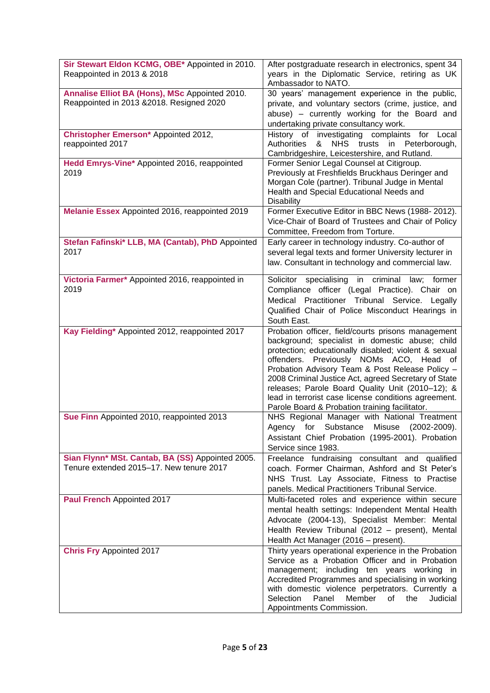| Sir Stewart Eldon KCMG, OBE* Appointed in 2010.<br>Reappointed in 2013 & 2018                | After postgraduate research in electronics, spent 34<br>years in the Diplomatic Service, retiring as UK<br>Ambassador to NATO.                                                                                                                                                                                                                                                                                                                                                    |
|----------------------------------------------------------------------------------------------|-----------------------------------------------------------------------------------------------------------------------------------------------------------------------------------------------------------------------------------------------------------------------------------------------------------------------------------------------------------------------------------------------------------------------------------------------------------------------------------|
| Annalise Elliot BA (Hons), MSc Appointed 2010.<br>Reappointed in 2013 & 2018. Resigned 2020  | 30 years' management experience in the public,<br>private, and voluntary sectors (crime, justice, and<br>abuse) - currently working for the Board and<br>undertaking private consultancy work.                                                                                                                                                                                                                                                                                    |
| Christopher Emerson* Appointed 2012,<br>reappointed 2017                                     | History of investigating complaints for Local<br>&<br>NHS trusts in Peterborough,<br>Authorities<br>Cambridgeshire, Leicestershire, and Rutland.                                                                                                                                                                                                                                                                                                                                  |
| Hedd Emrys-Vine* Appointed 2016, reappointed<br>2019                                         | Former Senior Legal Counsel at Citigroup.<br>Previously at Freshfields Bruckhaus Deringer and<br>Morgan Cole (partner). Tribunal Judge in Mental<br>Health and Special Educational Needs and<br><b>Disability</b>                                                                                                                                                                                                                                                                 |
| Melanie Essex Appointed 2016, reappointed 2019                                               | Former Executive Editor in BBC News (1988-2012).<br>Vice-Chair of Board of Trustees and Chair of Policy<br>Committee, Freedom from Torture.                                                                                                                                                                                                                                                                                                                                       |
| Stefan Fafinski* LLB, MA (Cantab), PhD Appointed<br>2017                                     | Early career in technology industry. Co-author of<br>several legal texts and former University lecturer in<br>law. Consultant in technology and commercial law.                                                                                                                                                                                                                                                                                                                   |
| Victoria Farmer* Appointed 2016, reappointed in<br>2019                                      | Solicitor specialising in criminal<br>law;<br>former<br>Compliance officer (Legal Practice). Chair on<br>Medical Practitioner Tribunal Service. Legally<br>Qualified Chair of Police Misconduct Hearings in<br>South East.                                                                                                                                                                                                                                                        |
| Kay Fielding* Appointed 2012, reappointed 2017                                               | Probation officer, field/courts prisons management<br>background; specialist in domestic abuse; child<br>protection; educationally disabled; violent & sexual<br>offenders. Previously NOMs ACO, Head of<br>Probation Advisory Team & Post Release Policy -<br>2008 Criminal Justice Act, agreed Secretary of State<br>releases; Parole Board Quality Unit (2010-12); &<br>lead in terrorist case license conditions agreement.<br>Parole Board & Probation training facilitator. |
| Sue Finn Appointed 2010, reappointed 2013                                                    | NHS Regional Manager with National Treatment<br>Agency for Substance Misuse (2002-2009).<br>Assistant Chief Probation (1995-2001). Probation<br>Service since 1983.                                                                                                                                                                                                                                                                                                               |
| Sian Flynn* MSt. Cantab, BA (SS) Appointed 2005.<br>Tenure extended 2015-17. New tenure 2017 | Freelance fundraising consultant and qualified<br>coach. Former Chairman, Ashford and St Peter's<br>NHS Trust. Lay Associate, Fitness to Practise<br>panels. Medical Practitioners Tribunal Service.                                                                                                                                                                                                                                                                              |
| Paul French Appointed 2017                                                                   | Multi-faceted roles and experience within secure<br>mental health settings: Independent Mental Health<br>Advocate (2004-13), Specialist Member: Mental<br>Health Review Tribunal (2012 - present), Mental<br>Health Act Manager (2016 – present).                                                                                                                                                                                                                                 |
| <b>Chris Fry Appointed 2017</b>                                                              | Thirty years operational experience in the Probation<br>Service as a Probation Officer and in Probation<br>management; including ten years working in<br>Accredited Programmes and specialising in working<br>with domestic violence perpetrators. Currently a<br>Selection<br>Panel<br>Member<br>of the<br>Judicial<br>Appointments Commission.                                                                                                                                  |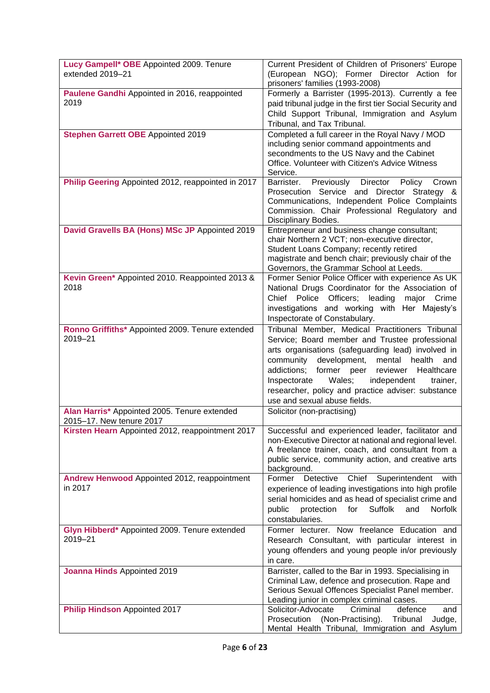| Lucy Gampell* OBE Appointed 2009. Tenure<br>extended 2019-21             | Current President of Children of Prisoners' Europe<br>(European NGO); Former Director Action for<br>prisoners' families (1993-2008)                                                                                                                                                                                                                                                                             |
|--------------------------------------------------------------------------|-----------------------------------------------------------------------------------------------------------------------------------------------------------------------------------------------------------------------------------------------------------------------------------------------------------------------------------------------------------------------------------------------------------------|
| Paulene Gandhi Appointed in 2016, reappointed<br>2019                    | Formerly a Barrister (1995-2013). Currently a fee<br>paid tribunal judge in the first tier Social Security and<br>Child Support Tribunal, Immigration and Asylum<br>Tribunal, and Tax Tribunal.                                                                                                                                                                                                                 |
| <b>Stephen Garrett OBE Appointed 2019</b>                                | Completed a full career in the Royal Navy / MOD<br>including senior command appointments and<br>secondments to the US Navy and the Cabinet<br>Office. Volunteer with Citizen's Advice Witness<br>Service.                                                                                                                                                                                                       |
| Philip Geering Appointed 2012, reappointed in 2017                       | Barrister.<br>Previously<br>Director<br>Policy<br>Crown<br>Prosecution Service and<br>Director Strategy &<br>Communications, Independent Police Complaints<br>Commission. Chair Professional Regulatory and<br>Disciplinary Bodies.                                                                                                                                                                             |
| David Gravells BA (Hons) MSc JP Appointed 2019                           | Entrepreneur and business change consultant;<br>chair Northern 2 VCT; non-executive director,<br>Student Loans Company; recently retired<br>magistrate and bench chair; previously chair of the<br>Governors, the Grammar School at Leeds.                                                                                                                                                                      |
| Kevin Green* Appointed 2010. Reappointed 2013 &<br>2018                  | Former Senior Police Officer with experience As UK<br>National Drugs Coordinator for the Association of<br>Chief Police Officers; leading<br>major Crime<br>investigations and working with Her Majesty's<br>Inspectorate of Constabulary.                                                                                                                                                                      |
| Ronno Griffiths* Appointed 2009. Tenure extended<br>2019-21              | Tribunal Member, Medical Practitioners Tribunal<br>Service; Board member and Trustee professional<br>arts organisations (safeguarding lead) involved in<br>community<br>development,<br>mental<br>health<br>and<br>addictions;<br>former peer reviewer<br>Healthcare<br>Wales;<br>independent<br>Inspectorate<br>trainer,<br>researcher, policy and practice adviser: substance<br>use and sexual abuse fields. |
| Alan Harris* Appointed 2005. Tenure extended<br>2015-17. New tenure 2017 | Solicitor (non-practising)                                                                                                                                                                                                                                                                                                                                                                                      |
| Kirsten Hearn Appointed 2012, reappointment 2017                         | Successful and experienced leader, facilitator and<br>non-Executive Director at national and regional level.<br>A freelance trainer, coach, and consultant from a<br>public service, community action, and creative arts<br>background.                                                                                                                                                                         |
| Andrew Henwood Appointed 2012, reappointment<br>in 2017                  | Detective<br>Superintendent<br>Former<br>Chief<br>with<br>experience of leading investigations into high profile<br>serial homicides and as head of specialist crime and<br>public<br>protection<br>for<br>Suffolk<br><b>Norfolk</b><br>and<br>constabularies.                                                                                                                                                  |
| Glyn Hibberd* Appointed 2009. Tenure extended<br>2019-21                 | Former lecturer. Now freelance Education and<br>Research Consultant, with particular interest in<br>young offenders and young people in/or previously<br>in care.                                                                                                                                                                                                                                               |
| Joanna Hinds Appointed 2019                                              | Barrister, called to the Bar in 1993. Specialising in<br>Criminal Law, defence and prosecution. Rape and<br>Serious Sexual Offences Specialist Panel member.<br>Leading junior in complex criminal cases.                                                                                                                                                                                                       |
| <b>Philip Hindson Appointed 2017</b>                                     | Solicitor-Advocate<br>Criminal<br>defence<br>and<br>(Non-Practising).<br>Tribunal<br>Prosecution<br>Judge,<br>Mental Health Tribunal, Immigration and Asylum                                                                                                                                                                                                                                                    |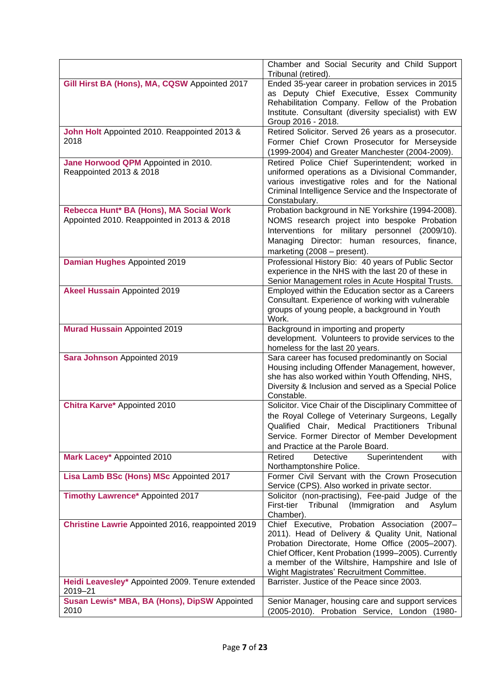|                                                                                       | Chamber and Social Security and Child Support<br>Tribunal (retired).                                                                                                                                                                                                                                          |
|---------------------------------------------------------------------------------------|---------------------------------------------------------------------------------------------------------------------------------------------------------------------------------------------------------------------------------------------------------------------------------------------------------------|
| Gill Hirst BA (Hons), MA, CQSW Appointed 2017                                         | Ended 35-year career in probation services in 2015<br>as Deputy Chief Executive, Essex Community<br>Rehabilitation Company. Fellow of the Probation<br>Institute. Consultant (diversity specialist) with EW<br>Group 2016 - 2018.                                                                             |
| John Holt Appointed 2010. Reappointed 2013 &<br>2018                                  | Retired Solicitor. Served 26 years as a prosecutor.<br>Former Chief Crown Prosecutor for Merseyside<br>(1999-2004) and Greater Manchester (2004-2009).                                                                                                                                                        |
| Jane Horwood QPM Appointed in 2010.<br>Reappointed 2013 & 2018                        | Retired Police Chief Superintendent; worked in<br>uniformed operations as a Divisional Commander,<br>various investigative roles and for the National<br>Criminal Intelligence Service and the Inspectorate of<br>Constabulary.                                                                               |
| Rebecca Hunt* BA (Hons), MA Social Work<br>Appointed 2010. Reappointed in 2013 & 2018 | Probation background in NE Yorkshire (1994-2008).<br>NOMS research project into bespoke Probation<br>Interventions for military personnel (2009/10).<br>Managing Director: human resources, finance,<br>marketing (2008 - present).                                                                           |
| Damian Hughes Appointed 2019                                                          | Professional History Bio: 40 years of Public Sector<br>experience in the NHS with the last 20 of these in<br>Senior Management roles in Acute Hospital Trusts.                                                                                                                                                |
| <b>Akeel Hussain Appointed 2019</b>                                                   | Employed within the Education sector as a Careers<br>Consultant. Experience of working with vulnerable<br>groups of young people, a background in Youth<br>Work.                                                                                                                                              |
| <b>Murad Hussain Appointed 2019</b>                                                   | Background in importing and property<br>development. Volunteers to provide services to the<br>homeless for the last 20 years.                                                                                                                                                                                 |
| Sara Johnson Appointed 2019                                                           | Sara career has focused predominantly on Social<br>Housing including Offender Management, however,<br>she has also worked within Youth Offending, NHS,<br>Diversity & Inclusion and served as a Special Police<br>Constable.                                                                                  |
| Chitra Karve* Appointed 2010                                                          | Solicitor. Vice Chair of the Disciplinary Committee of<br>the Royal College of Veterinary Surgeons, Legally<br>Qualified Chair, Medical Practitioners Tribunal<br>Service. Former Director of Member Development<br>and Practice at the Parole Board.                                                         |
| Mark Lacey* Appointed 2010                                                            | Retired<br>Superintendent<br>Detective<br>with<br>Northamptonshire Police.<br>Former Civil Servant with the Crown Prosecution                                                                                                                                                                                 |
| Lisa Lamb BSc (Hons) MSc Appointed 2017                                               | Service (CPS). Also worked in private sector.                                                                                                                                                                                                                                                                 |
| Timothy Lawrence* Appointed 2017                                                      | Solicitor (non-practising), Fee-paid Judge of the<br>First-tier<br>Tribunal<br>(Immigration<br>and Asylum<br>Chamber).                                                                                                                                                                                        |
| Christine Lawrie Appointed 2016, reappointed 2019                                     | Chief Executive, Probation Association (2007-<br>2011). Head of Delivery & Quality Unit, National<br>Probation Directorate, Home Office (2005-2007).<br>Chief Officer, Kent Probation (1999-2005). Currently<br>a member of the Wiltshire, Hampshire and Isle of<br>Wight Magistrates' Recruitment Committee. |
| Heidi Leavesley* Appointed 2009. Tenure extended<br>2019-21                           | Barrister. Justice of the Peace since 2003.                                                                                                                                                                                                                                                                   |
| Susan Lewis* MBA, BA (Hons), DipSW Appointed<br>2010                                  | Senior Manager, housing care and support services<br>(2005-2010). Probation Service, London (1980-                                                                                                                                                                                                            |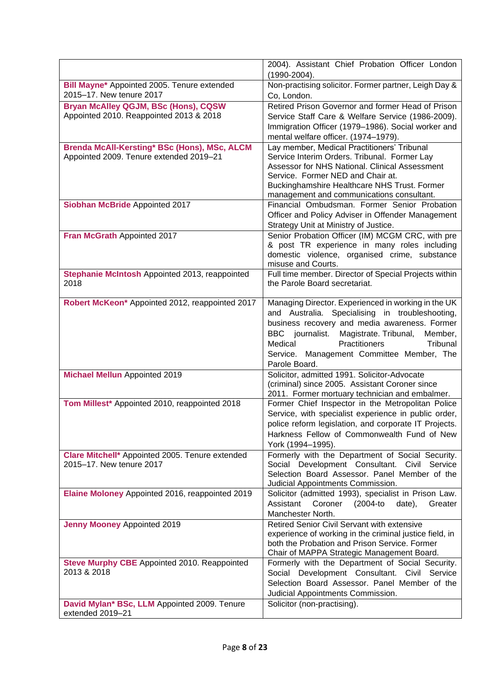|                                                                                         | 2004). Assistant Chief Probation Officer London<br>$(1990 - 2004)$ .                                                                                                                                                                                                                                                 |
|-----------------------------------------------------------------------------------------|----------------------------------------------------------------------------------------------------------------------------------------------------------------------------------------------------------------------------------------------------------------------------------------------------------------------|
| Bill Mayne* Appointed 2005. Tenure extended<br>2015-17. New tenure 2017                 | Non-practising solicitor. Former partner, Leigh Day &<br>Co, London.                                                                                                                                                                                                                                                 |
| <b>Bryan McAlley QGJM, BSc (Hons), CQSW</b><br>Appointed 2010. Reappointed 2013 & 2018  | Retired Prison Governor and former Head of Prison<br>Service Staff Care & Welfare Service (1986-2009).<br>Immigration Officer (1979-1986). Social worker and<br>mental welfare officer. (1974-1979).                                                                                                                 |
| Brenda McAll-Kersting* BSc (Hons), MSc, ALCM<br>Appointed 2009. Tenure extended 2019-21 | Lay member, Medical Practitioners' Tribunal<br>Service Interim Orders. Tribunal. Former Lay<br>Assessor for NHS National. Clinical Assessment<br>Service. Former NED and Chair at.<br>Buckinghamshire Healthcare NHS Trust. Former<br>management and communications consultant.                                      |
| Siobhan McBride Appointed 2017                                                          | Financial Ombudsman. Former Senior Probation<br>Officer and Policy Adviser in Offender Management<br>Strategy Unit at Ministry of Justice.                                                                                                                                                                           |
| Fran McGrath Appointed 2017                                                             | Senior Probation Officer (IM) MCGM CRC, with pre<br>& post TR experience in many roles including<br>domestic violence, organised crime, substance<br>misuse and Courts.                                                                                                                                              |
| Stephanie McIntosh Appointed 2013, reappointed<br>2018                                  | Full time member. Director of Special Projects within<br>the Parole Board secretariat.                                                                                                                                                                                                                               |
| Robert McKeon* Appointed 2012, reappointed 2017                                         | Managing Director. Experienced in working in the UK<br>and Australia. Specialising in troubleshooting,<br>business recovery and media awareness. Former<br>Magistrate. Tribunal,<br>BBC journalist.<br>Member,<br>Practitioners<br>Medical<br>Tribunal<br>Service. Management Committee Member, The<br>Parole Board. |
| <b>Michael Mellun Appointed 2019</b>                                                    | Solicitor, admitted 1991. Solicitor-Advocate<br>(criminal) since 2005. Assistant Coroner since<br>2011. Former mortuary technician and embalmer.                                                                                                                                                                     |
| Tom Millest* Appointed 2010, reappointed 2018                                           | Former Chief Inspector in the Metropolitan Police<br>Service, with specialist experience in public order,<br>police reform legislation, and corporate IT Projects.<br>Harkness Fellow of Commonwealth Fund of New<br>York (1994-1995).                                                                               |
| Clare Mitchell* Appointed 2005. Tenure extended<br>2015-17. New tenure 2017             | Formerly with the Department of Social Security.<br>Social Development Consultant. Civil Service<br>Selection Board Assessor. Panel Member of the<br>Judicial Appointments Commission.                                                                                                                               |
| Elaine Moloney Appointed 2016, reappointed 2019                                         | Solicitor (admitted 1993), specialist in Prison Law.<br>Assistant<br>Coroner<br>(2004-to<br>date),<br>Greater<br>Manchester North.                                                                                                                                                                                   |
| <b>Jenny Mooney Appointed 2019</b>                                                      | Retired Senior Civil Servant with extensive<br>experience of working in the criminal justice field, in<br>both the Probation and Prison Service. Former<br>Chair of MAPPA Strategic Management Board.                                                                                                                |
| Steve Murphy CBE Appointed 2010. Reappointed<br>2013 & 2018                             | Formerly with the Department of Social Security.<br>Social Development Consultant. Civil Service<br>Selection Board Assessor. Panel Member of the<br>Judicial Appointments Commission.                                                                                                                               |
| David Mylan* BSc, LLM Appointed 2009. Tenure<br>extended 2019-21                        | Solicitor (non-practising).                                                                                                                                                                                                                                                                                          |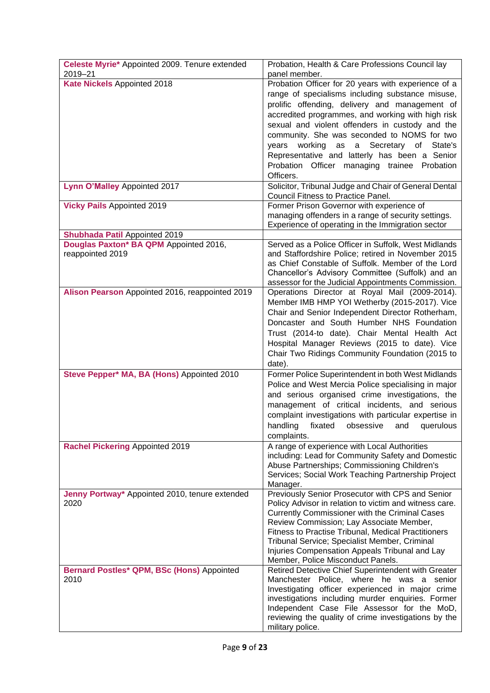| Celeste Myrie* Appointed 2009. Tenure extended<br>2019-21  | Probation, Health & Care Professions Council lay<br>panel member.                                                                                                                                                                                                                                                                                                                                                                                                               |
|------------------------------------------------------------|---------------------------------------------------------------------------------------------------------------------------------------------------------------------------------------------------------------------------------------------------------------------------------------------------------------------------------------------------------------------------------------------------------------------------------------------------------------------------------|
| Kate Nickels Appointed 2018                                | Probation Officer for 20 years with experience of a<br>range of specialisms including substance misuse,<br>prolific offending, delivery and management of<br>accredited programmes, and working with high risk<br>sexual and violent offenders in custody and the<br>community. She was seconded to NOMS for two<br>as a Secretary of State's<br>working<br>years<br>Representative and latterly has been a Senior<br>Probation Officer managing trainee Probation<br>Officers. |
| Lynn O'Malley Appointed 2017                               | Solicitor, Tribunal Judge and Chair of General Dental<br>Council Fitness to Practice Panel.                                                                                                                                                                                                                                                                                                                                                                                     |
| <b>Vicky Pails Appointed 2019</b>                          | Former Prison Governor with experience of<br>managing offenders in a range of security settings.<br>Experience of operating in the Immigration sector                                                                                                                                                                                                                                                                                                                           |
| <b>Shubhada Patil Appointed 2019</b>                       |                                                                                                                                                                                                                                                                                                                                                                                                                                                                                 |
| Douglas Paxton* BA QPM Appointed 2016,<br>reappointed 2019 | Served as a Police Officer in Suffolk, West Midlands<br>and Staffordshire Police; retired in November 2015<br>as Chief Constable of Suffolk. Member of the Lord<br>Chancellor's Advisory Committee (Suffolk) and an<br>assessor for the Judicial Appointments Commission.                                                                                                                                                                                                       |
| Alison Pearson Appointed 2016, reappointed 2019            | Operations Director at Royal Mail (2009-2014).<br>Member IMB HMP YOI Wetherby (2015-2017). Vice<br>Chair and Senior Independent Director Rotherham,<br>Doncaster and South Humber NHS Foundation<br>Trust (2014-to date). Chair Mental Health Act<br>Hospital Manager Reviews (2015 to date). Vice<br>Chair Two Ridings Community Foundation (2015 to<br>date).                                                                                                                 |
| Steve Pepper* MA, BA (Hons) Appointed 2010                 | Former Police Superintendent in both West Midlands<br>Police and West Mercia Police specialising in major<br>and serious organised crime investigations, the<br>management of critical incidents, and serious<br>complaint investigations with particular expertise in<br>handling fixated obsessive and querulous<br>complaints.                                                                                                                                               |
| <b>Rachel Pickering Appointed 2019</b>                     | A range of experience with Local Authorities<br>including: Lead for Community Safety and Domestic<br>Abuse Partnerships; Commissioning Children's<br>Services; Social Work Teaching Partnership Project<br>Manager.                                                                                                                                                                                                                                                             |
| Jenny Portway* Appointed 2010, tenure extended<br>2020     | Previously Senior Prosecutor with CPS and Senior<br>Policy Advisor in relation to victim and witness care.<br>Currently Commissioner with the Criminal Cases<br>Review Commission; Lay Associate Member,<br><b>Fitness to Practise Tribunal, Medical Practitioners</b><br>Tribunal Service; Specialist Member, Criminal<br>Injuries Compensation Appeals Tribunal and Lay<br>Member, Police Misconduct Panels.                                                                  |
| Bernard Postles* QPM, BSc (Hons) Appointed<br>2010         | Retired Detective Chief Superintendent with Greater<br>Manchester Police, where he was a senior<br>Investigating officer experienced in major crime<br>investigations including murder enquiries. Former<br>Independent Case File Assessor for the MoD,<br>reviewing the quality of crime investigations by the<br>military police.                                                                                                                                             |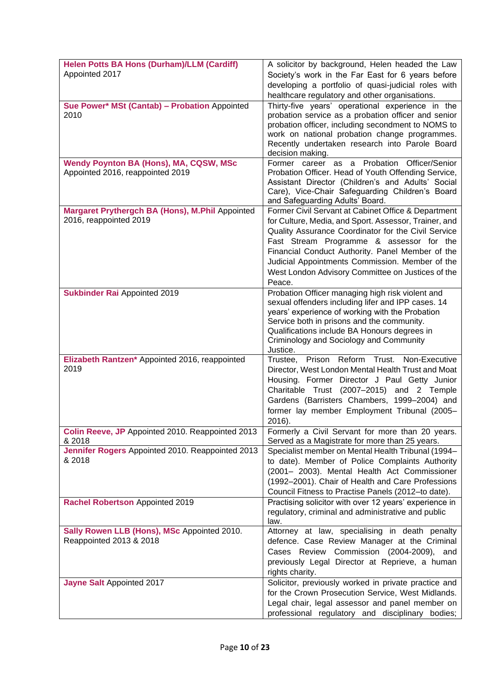| <b>Helen Potts BA Hons (Durham)/LLM (Cardiff)</b>                      | A solicitor by background, Helen headed the Law                                                              |
|------------------------------------------------------------------------|--------------------------------------------------------------------------------------------------------------|
| Appointed 2017                                                         | Society's work in the Far East for 6 years before                                                            |
|                                                                        | developing a portfolio of quasi-judicial roles with                                                          |
| Sue Power* MSt (Cantab) - Probation Appointed                          | healthcare regulatory and other organisations.<br>Thirty-five years' operational experience in the           |
| 2010                                                                   | probation service as a probation officer and senior                                                          |
|                                                                        | probation officer, including secondment to NOMS to                                                           |
|                                                                        | work on national probation change programmes.<br>Recently undertaken research into Parole Board              |
|                                                                        | decision making.                                                                                             |
| <b>Wendy Poynton BA (Hons), MA, CQSW, MSc</b>                          | Former career as a Probation Officer/Senior                                                                  |
| Appointed 2016, reappointed 2019                                       | Probation Officer. Head of Youth Offending Service,<br>Assistant Director (Children's and Adults' Social     |
|                                                                        | Care), Vice-Chair Safeguarding Children's Board                                                              |
|                                                                        | and Safeguarding Adults' Board.                                                                              |
| Margaret Prythergch BA (Hons), M.Phil Appointed                        | Former Civil Servant at Cabinet Office & Department                                                          |
| 2016, reappointed 2019                                                 | for Culture, Media, and Sport. Assessor, Trainer, and<br>Quality Assurance Coordinator for the Civil Service |
|                                                                        | Fast Stream Programme & assessor for the                                                                     |
|                                                                        | Financial Conduct Authority. Panel Member of the                                                             |
|                                                                        | Judicial Appointments Commission. Member of the                                                              |
|                                                                        | West London Advisory Committee on Justices of the                                                            |
| <b>Sukbinder Rai Appointed 2019</b>                                    | Peace.<br>Probation Officer managing high risk violent and                                                   |
|                                                                        | sexual offenders including lifer and IPP cases. 14                                                           |
|                                                                        | years' experience of working with the Probation                                                              |
|                                                                        | Service both in prisons and the community.                                                                   |
|                                                                        | Qualifications include BA Honours degrees in<br>Criminology and Sociology and Community                      |
|                                                                        | Justice.                                                                                                     |
| Elizabeth Rantzen* Appointed 2016, reappointed                         | Prison Reform Trust.<br>Trustee,<br>Non-Executive                                                            |
| 2019                                                                   | Director, West London Mental Health Trust and Moat<br>Housing. Former Director J Paul Getty Junior           |
|                                                                        | Charitable Trust (2007-2015) and 2 Temple                                                                    |
|                                                                        | Gardens (Barristers Chambers, 1999-2004) and                                                                 |
|                                                                        | former lay member Employment Tribunal (2005-                                                                 |
|                                                                        | 2016).                                                                                                       |
| Colin Reeve, JP Appointed 2010. Reappointed 2013<br>& 2018             | Formerly a Civil Servant for more than 20 years.<br>Served as a Magistrate for more than 25 years.           |
| Jennifer Rogers Appointed 2010. Reappointed 2013                       | Specialist member on Mental Health Tribunal (1994-                                                           |
| & 2018                                                                 | to date). Member of Police Complaints Authority                                                              |
|                                                                        | (2001- 2003). Mental Health Act Commissioner                                                                 |
|                                                                        | (1992-2001). Chair of Health and Care Professions<br>Council Fitness to Practise Panels (2012-to date).      |
| Rachel Robertson Appointed 2019                                        | Practising solicitor with over 12 years' experience in                                                       |
|                                                                        | regulatory, criminal and administrative and public                                                           |
|                                                                        | law.                                                                                                         |
| Sally Rowen LLB (Hons), MSc Appointed 2010.<br>Reappointed 2013 & 2018 | Attorney at law, specialising in death penalty<br>defence. Case Review Manager at the Criminal               |
|                                                                        | Cases Review Commission (2004-2009), and                                                                     |
|                                                                        | previously Legal Director at Reprieve, a human                                                               |
|                                                                        | rights charity.                                                                                              |
| Jayne Salt Appointed 2017                                              | Solicitor, previously worked in private practice and                                                         |
|                                                                        | for the Crown Prosecution Service, West Midlands.<br>Legal chair, legal assessor and panel member on         |
|                                                                        | professional regulatory and disciplinary bodies;                                                             |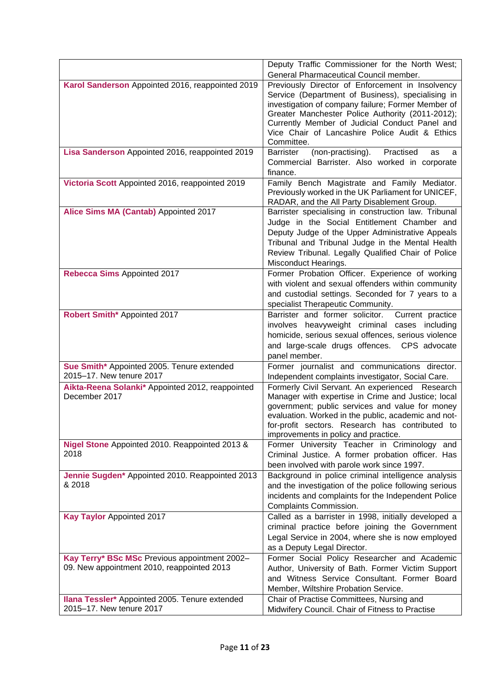|                                                                                             | Deputy Traffic Commissioner for the North West;                                                                                                                                                                                                                                                                                   |
|---------------------------------------------------------------------------------------------|-----------------------------------------------------------------------------------------------------------------------------------------------------------------------------------------------------------------------------------------------------------------------------------------------------------------------------------|
|                                                                                             | General Pharmaceutical Council member.                                                                                                                                                                                                                                                                                            |
| Karol Sanderson Appointed 2016, reappointed 2019                                            | Previously Director of Enforcement in Insolvency<br>Service (Department of Business), specialising in<br>investigation of company failure; Former Member of<br>Greater Manchester Police Authority (2011-2012);<br>Currently Member of Judicial Conduct Panel and<br>Vice Chair of Lancashire Police Audit & Ethics<br>Committee. |
| Lisa Sanderson Appointed 2016, reappointed 2019                                             | (non-practising).<br><b>Barrister</b><br>Practised<br>as<br>a<br>Commercial Barrister. Also worked in corporate<br>finance.                                                                                                                                                                                                       |
| Victoria Scott Appointed 2016, reappointed 2019                                             | Family Bench Magistrate and Family Mediator.<br>Previously worked in the UK Parliament for UNICEF,<br>RADAR, and the All Party Disablement Group.                                                                                                                                                                                 |
| Alice Sims MA (Cantab) Appointed 2017                                                       | Barrister specialising in construction law. Tribunal<br>Judge in the Social Entitlement Chamber and<br>Deputy Judge of the Upper Administrative Appeals<br>Tribunal and Tribunal Judge in the Mental Health<br>Review Tribunal. Legally Qualified Chair of Police<br>Misconduct Hearings.                                         |
| Rebecca Sims Appointed 2017                                                                 | Former Probation Officer. Experience of working<br>with violent and sexual offenders within community<br>and custodial settings. Seconded for 7 years to a<br>specialist Therapeutic Community.                                                                                                                                   |
| Robert Smith* Appointed 2017                                                                | Barrister and former solicitor.<br>Current practice<br>involves heavyweight criminal cases including<br>homicide, serious sexual offences, serious violence<br>and large-scale drugs offences. CPS advocate<br>panel member.                                                                                                      |
| Sue Smith* Appointed 2005. Tenure extended<br>2015-17. New tenure 2017                      | Former journalist and communications director.<br>Independent complaints investigator, Social Care.                                                                                                                                                                                                                               |
| Aikta-Reena Solanki* Appointed 2012, reappointed<br>December 2017                           | Formerly Civil Servant. An experienced Research<br>Manager with expertise in Crime and Justice; local<br>government; public services and value for money<br>evaluation. Worked in the public, academic and not-<br>for-profit sectors. Research has contributed to<br>improvements in policy and practice.                        |
| Nigel Stone Appointed 2010. Reappointed 2013 &<br>2018                                      | Former University Teacher in Criminology and<br>Criminal Justice. A former probation officer. Has<br>been involved with parole work since 1997.                                                                                                                                                                                   |
| Jennie Sugden* Appointed 2010. Reappointed 2013<br>& 2018                                   | Background in police criminal intelligence analysis<br>and the investigation of the police following serious<br>incidents and complaints for the Independent Police<br>Complaints Commission.                                                                                                                                     |
| <b>Kay Taylor Appointed 2017</b>                                                            | Called as a barrister in 1998, initially developed a<br>criminal practice before joining the Government<br>Legal Service in 2004, where she is now employed<br>as a Deputy Legal Director.                                                                                                                                        |
| Kay Terry* BSc MSc Previous appointment 2002-<br>09. New appointment 2010, reappointed 2013 | Former Social Policy Researcher and Academic<br>Author, University of Bath. Former Victim Support<br>and Witness Service Consultant. Former Board<br>Member, Wiltshire Probation Service.                                                                                                                                         |
| Ilana Tessler* Appointed 2005. Tenure extended<br>2015-17. New tenure 2017                  | Chair of Practise Committees, Nursing and<br>Midwifery Council. Chair of Fitness to Practise                                                                                                                                                                                                                                      |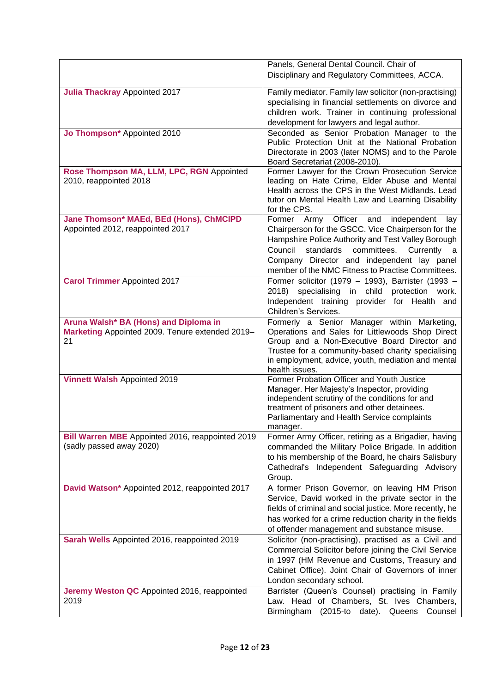|                                                                                                | Panels, General Dental Council. Chair of<br>Disciplinary and Regulatory Committees, ACCA.                                                                                                                                                                                                                           |
|------------------------------------------------------------------------------------------------|---------------------------------------------------------------------------------------------------------------------------------------------------------------------------------------------------------------------------------------------------------------------------------------------------------------------|
| <b>Julia Thackray Appointed 2017</b>                                                           | Family mediator. Family law solicitor (non-practising)<br>specialising in financial settlements on divorce and<br>children work. Trainer in continuing professional<br>development for lawyers and legal author.                                                                                                    |
| Jo Thompson* Appointed 2010                                                                    | Seconded as Senior Probation Manager to the<br>Public Protection Unit at the National Probation<br>Directorate in 2003 (later NOMS) and to the Parole<br>Board Secretariat (2008-2010).                                                                                                                             |
| Rose Thompson MA, LLM, LPC, RGN Appointed<br>2010, reappointed 2018                            | Former Lawyer for the Crown Prosecution Service<br>leading on Hate Crime, Elder Abuse and Mental<br>Health across the CPS in the West Midlands. Lead<br>tutor on Mental Health Law and Learning Disability<br>for the CPS.                                                                                          |
| Jane Thomson* MAEd, BEd (Hons), ChMCIPD<br>Appointed 2012, reappointed 2017                    | Officer and<br>Former Army<br>independent<br>lay<br>Chairperson for the GSCC. Vice Chairperson for the<br>Hampshire Police Authority and Test Valley Borough<br>Council<br>standards<br>committees.<br>Currently<br>Company Director and independent lay panel<br>member of the NMC Fitness to Practise Committees. |
| <b>Carol Trimmer Appointed 2017</b>                                                            | Former solicitor (1979 - 1993), Barrister (1993 -<br>specialising in child<br>protection work.<br>2018)<br>Independent training provider for Health and<br>Children's Services.                                                                                                                                     |
| Aruna Walsh* BA (Hons) and Diploma in<br>Marketing Appointed 2009. Tenure extended 2019-<br>21 | Formerly a Senior Manager within Marketing,<br>Operations and Sales for Littlewoods Shop Direct<br>Group and a Non-Executive Board Director and<br>Trustee for a community-based charity specialising<br>in employment, advice, youth, mediation and mental<br>health issues.                                       |
| <b>Vinnett Walsh Appointed 2019</b>                                                            | Former Probation Officer and Youth Justice<br>Manager. Her Majesty's Inspector, providing<br>independent scrutiny of the conditions for and<br>treatment of prisoners and other detainees.<br>Parliamentary and Health Service complaints<br>manager.                                                               |
| Bill Warren MBE Appointed 2016, reappointed 2019<br>(sadly passed away 2020)                   | Former Army Officer, retiring as a Brigadier, having<br>commanded the Military Police Brigade. In addition<br>to his membership of the Board, he chairs Salisbury<br>Cathedral's Independent Safeguarding Advisory<br>Group.                                                                                        |
| David Watson* Appointed 2012, reappointed 2017                                                 | A former Prison Governor, on leaving HM Prison<br>Service, David worked in the private sector in the<br>fields of criminal and social justice. More recently, he<br>has worked for a crime reduction charity in the fields<br>of offender management and substance misuse.                                          |
| Sarah Wells Appointed 2016, reappointed 2019                                                   | Solicitor (non-practising), practised as a Civil and<br>Commercial Solicitor before joining the Civil Service<br>in 1997 (HM Revenue and Customs, Treasury and<br>Cabinet Office). Joint Chair of Governors of inner<br>London secondary school.                                                                    |
| Jeremy Weston QC Appointed 2016, reappointed<br>2019                                           | Barrister (Queen's Counsel) practising in Family<br>Law. Head of Chambers, St. Ives Chambers,<br>Birmingham<br>(2015-to date). Queens Counsel                                                                                                                                                                       |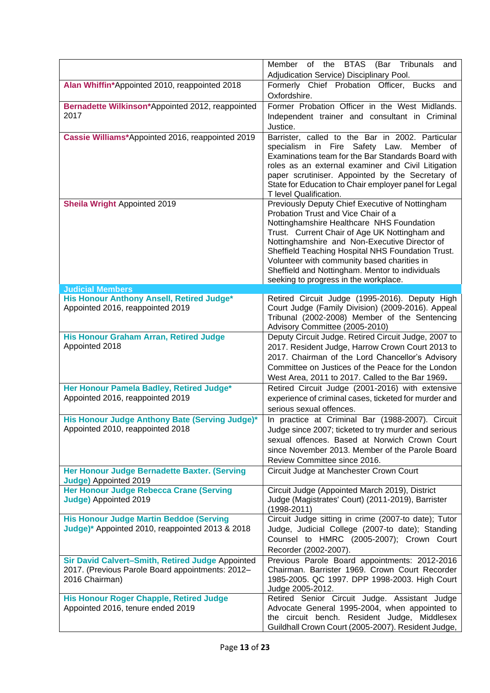| Adjudication Service) Disciplinary Pool.<br>Formerly Chief Probation Officer, Bucks<br>Alan Whiffin*Appointed 2010, reappointed 2018<br>and<br>Oxfordshire.<br>Former Probation Officer in the West Midlands.<br>Bernadette Wilkinson*Appointed 2012, reappointed<br>2017<br>Independent trainer and consultant in Criminal<br>Justice. |
|-----------------------------------------------------------------------------------------------------------------------------------------------------------------------------------------------------------------------------------------------------------------------------------------------------------------------------------------|
|                                                                                                                                                                                                                                                                                                                                         |
|                                                                                                                                                                                                                                                                                                                                         |
|                                                                                                                                                                                                                                                                                                                                         |
|                                                                                                                                                                                                                                                                                                                                         |
| Cassie Williams*Appointed 2016, reappointed 2019<br>Barrister, called to the Bar in 2002. Particular                                                                                                                                                                                                                                    |
| specialism in Fire Safety Law.<br>Member of                                                                                                                                                                                                                                                                                             |
| Examinations team for the Bar Standards Board with                                                                                                                                                                                                                                                                                      |
| roles as an external examiner and Civil Litigation                                                                                                                                                                                                                                                                                      |
| paper scrutiniser. Appointed by the Secretary of<br>State for Education to Chair employer panel for Legal                                                                                                                                                                                                                               |
| T level Qualification.                                                                                                                                                                                                                                                                                                                  |
| <b>Sheila Wright Appointed 2019</b><br>Previously Deputy Chief Executive of Nottingham<br>Probation Trust and Vice Chair of a                                                                                                                                                                                                           |
| Nottinghamshire Healthcare NHS Foundation                                                                                                                                                                                                                                                                                               |
| Trust. Current Chair of Age UK Nottingham and                                                                                                                                                                                                                                                                                           |
| Nottinghamshire and Non-Executive Director of                                                                                                                                                                                                                                                                                           |
| Sheffield Teaching Hospital NHS Foundation Trust.                                                                                                                                                                                                                                                                                       |
| Volunteer with community based charities in                                                                                                                                                                                                                                                                                             |
| Sheffield and Nottingham. Mentor to individuals                                                                                                                                                                                                                                                                                         |
| seeking to progress in the workplace.<br><b>Judicial Members</b>                                                                                                                                                                                                                                                                        |
| His Honour Anthony Ansell, Retired Judge*<br>Retired Circuit Judge (1995-2016). Deputy High                                                                                                                                                                                                                                             |
| Court Judge (Family Division) (2009-2016). Appeal<br>Appointed 2016, reappointed 2019                                                                                                                                                                                                                                                   |
| Tribunal (2002-2008) Member of the Sentencing                                                                                                                                                                                                                                                                                           |
| Advisory Committee (2005-2010)                                                                                                                                                                                                                                                                                                          |
| His Honour Graham Arran, Retired Judge<br>Deputy Circuit Judge. Retired Circuit Judge, 2007 to<br>Appointed 2018<br>2017. Resident Judge, Harrow Crown Court 2013 to                                                                                                                                                                    |
| 2017. Chairman of the Lord Chancellor's Advisory                                                                                                                                                                                                                                                                                        |
| Committee on Justices of the Peace for the London                                                                                                                                                                                                                                                                                       |
| West Area, 2011 to 2017. Called to the Bar 1969.                                                                                                                                                                                                                                                                                        |
| Her Honour Pamela Badley, Retired Judge*<br>Retired Circuit Judge (2001-2016) with extensive                                                                                                                                                                                                                                            |
| Appointed 2016, reappointed 2019<br>experience of criminal cases, ticketed for murder and                                                                                                                                                                                                                                               |
| serious sexual offences.                                                                                                                                                                                                                                                                                                                |
| His Honour Judge Anthony Bate (Serving Judge)*<br>In practice at Criminal Bar (1988-2007). Circuit                                                                                                                                                                                                                                      |
| Appointed 2010, reappointed 2018<br>Judge since 2007; ticketed to try murder and serious                                                                                                                                                                                                                                                |
| sexual offences. Based at Norwich Crown Court<br>since November 2013. Member of the Parole Board                                                                                                                                                                                                                                        |
| Review Committee since 2016.                                                                                                                                                                                                                                                                                                            |
| Her Honour Judge Bernadette Baxter. (Serving<br>Circuit Judge at Manchester Crown Court                                                                                                                                                                                                                                                 |
| Judge) Appointed 2019                                                                                                                                                                                                                                                                                                                   |
| <b>Her Honour Judge Rebecca Crane (Serving</b><br>Circuit Judge (Appointed March 2019), District                                                                                                                                                                                                                                        |
| Judge) Appointed 2019<br>Judge (Magistrates' Court) (2011-2019), Barrister<br>$(1998 - 2011)$                                                                                                                                                                                                                                           |
| <b>His Honour Judge Martin Beddoe (Serving</b><br>Circuit Judge sitting in crime (2007-to date); Tutor                                                                                                                                                                                                                                  |
| Judge)* Appointed 2010, reappointed 2013 & 2018<br>Judge, Judicial College (2007-to date); Standing                                                                                                                                                                                                                                     |
| Counsel to HMRC (2005-2007); Crown Court                                                                                                                                                                                                                                                                                                |
| Recorder (2002-2007).                                                                                                                                                                                                                                                                                                                   |
| Sir David Calvert-Smith, Retired Judge Appointed<br>Previous Parole Board appointments: 2012-2016<br>2017. (Previous Parole Board appointments: 2012-<br>Chairman. Barrister 1969. Crown Court Recorder                                                                                                                                 |
| 2016 Chairman)<br>1985-2005. QC 1997. DPP 1998-2003. High Court                                                                                                                                                                                                                                                                         |
| Judge 2005-2012.                                                                                                                                                                                                                                                                                                                        |
| <b>His Honour Roger Chapple, Retired Judge</b><br>Retired Senior Circuit Judge. Assistant Judge                                                                                                                                                                                                                                         |
| Appointed 2016, tenure ended 2019<br>Advocate General 1995-2004, when appointed to                                                                                                                                                                                                                                                      |
| the circuit bench. Resident Judge, Middlesex<br>Guildhall Crown Court (2005-2007). Resident Judge,                                                                                                                                                                                                                                      |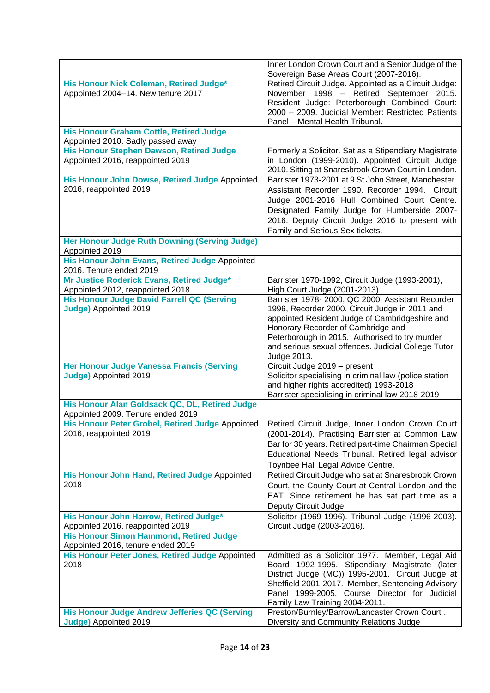|                                                                                    | Inner London Crown Court and a Senior Judge of the<br>Sovereign Base Areas Court (2007-2016). |
|------------------------------------------------------------------------------------|-----------------------------------------------------------------------------------------------|
| His Honour Nick Coleman, Retired Judge*                                            | Retired Circuit Judge. Appointed as a Circuit Judge:                                          |
| Appointed 2004-14. New tenure 2017                                                 | November 1998 - Retired September 2015.                                                       |
|                                                                                    | Resident Judge: Peterborough Combined Court:                                                  |
|                                                                                    | 2000 - 2009. Judicial Member: Restricted Patients                                             |
|                                                                                    | Panel - Mental Health Tribunal.                                                               |
|                                                                                    |                                                                                               |
| <b>His Honour Graham Cottle, Retired Judge</b>                                     |                                                                                               |
| Appointed 2010. Sadly passed away                                                  |                                                                                               |
| <b>His Honour Stephen Dawson, Retired Judge</b>                                    | Formerly a Solicitor. Sat as a Stipendiary Magistrate                                         |
| Appointed 2016, reappointed 2019                                                   | in London (1999-2010). Appointed Circuit Judge                                                |
|                                                                                    | 2010. Sitting at Snaresbrook Crown Court in London.                                           |
| His Honour John Dowse, Retired Judge Appointed                                     | Barrister 1973-2001 at 9 St John Street, Manchester.                                          |
| 2016, reappointed 2019                                                             | Assistant Recorder 1990. Recorder 1994. Circuit                                               |
|                                                                                    | Judge 2001-2016 Hull Combined Court Centre.                                                   |
|                                                                                    | Designated Family Judge for Humberside 2007-                                                  |
|                                                                                    | 2016. Deputy Circuit Judge 2016 to present with                                               |
|                                                                                    | Family and Serious Sex tickets.                                                               |
| Her Honour Judge Ruth Downing (Serving Judge)                                      |                                                                                               |
| Appointed 2019                                                                     |                                                                                               |
| His Honour John Evans, Retired Judge Appointed                                     |                                                                                               |
| 2016. Tenure ended 2019                                                            |                                                                                               |
| Mr Justice Roderick Evans, Retired Judge*                                          | Barrister 1970-1992, Circuit Judge (1993-2001),                                               |
| Appointed 2012, reappointed 2018                                                   | High Court Judge (2001-2013).                                                                 |
| <b>His Honour Judge David Farrell QC (Serving</b>                                  | Barrister 1978- 2000, QC 2000. Assistant Recorder                                             |
| Judge) Appointed 2019                                                              | 1996, Recorder 2000. Circuit Judge in 2011 and                                                |
|                                                                                    | appointed Resident Judge of Cambridgeshire and                                                |
|                                                                                    | Honorary Recorder of Cambridge and                                                            |
|                                                                                    | Peterborough in 2015. Authorised to try murder                                                |
|                                                                                    | and serious sexual offences. Judicial College Tutor                                           |
|                                                                                    | Judge 2013.                                                                                   |
| <b>Her Honour Judge Vanessa Francis (Serving</b>                                   | Circuit Judge 2019 - present                                                                  |
| Judge) Appointed 2019                                                              | Solicitor specialising in criminal law (police station                                        |
|                                                                                    | and higher rights accredited) 1993-2018                                                       |
|                                                                                    | Barrister specialising in criminal law 2018-2019                                              |
| His Honour Alan Goldsack QC, DL, Retired Judge                                     |                                                                                               |
| Appointed 2009. Tenure ended 2019                                                  |                                                                                               |
| His Honour Peter Grobel, Retired Judge Appointed                                   | Retired Circuit Judge, Inner London Crown Court                                               |
| 2016, reappointed 2019                                                             | (2001-2014). Practising Barrister at Common Law                                               |
|                                                                                    | Bar for 30 years. Retired part-time Chairman Special                                          |
|                                                                                    | Educational Needs Tribunal. Retired legal advisor                                             |
|                                                                                    | Toynbee Hall Legal Advice Centre.                                                             |
| His Honour John Hand, Retired Judge Appointed                                      | Retired Circuit Judge who sat at Snaresbrook Crown                                            |
| 2018                                                                               | Court, the County Court at Central London and the                                             |
|                                                                                    | EAT. Since retirement he has sat part time as a                                               |
|                                                                                    |                                                                                               |
|                                                                                    | Deputy Circuit Judge.                                                                         |
| His Honour John Harrow, Retired Judge*                                             | Solicitor (1969-1996). Tribunal Judge (1996-2003).                                            |
| Appointed 2016, reappointed 2019<br><b>His Honour Simon Hammond, Retired Judge</b> | Circuit Judge (2003-2016).                                                                    |
| Appointed 2016, tenure ended 2019                                                  |                                                                                               |
| His Honour Peter Jones, Retired Judge Appointed                                    | Admitted as a Solicitor 1977. Member, Legal Aid                                               |
| 2018                                                                               | Board 1992-1995. Stipendiary Magistrate (later                                                |
|                                                                                    | District Judge (MC)) 1995-2001. Circuit Judge at                                              |
|                                                                                    | Sheffield 2001-2017. Member, Sentencing Advisory                                              |
|                                                                                    | Panel 1999-2005. Course Director for Judicial                                                 |
|                                                                                    | Family Law Training 2004-2011.                                                                |
| <b>His Honour Judge Andrew Jefferies QC (Serving</b>                               | Preston/Burnley/Barrow/Lancaster Crown Court.                                                 |
| Judge) Appointed 2019                                                              | Diversity and Community Relations Judge                                                       |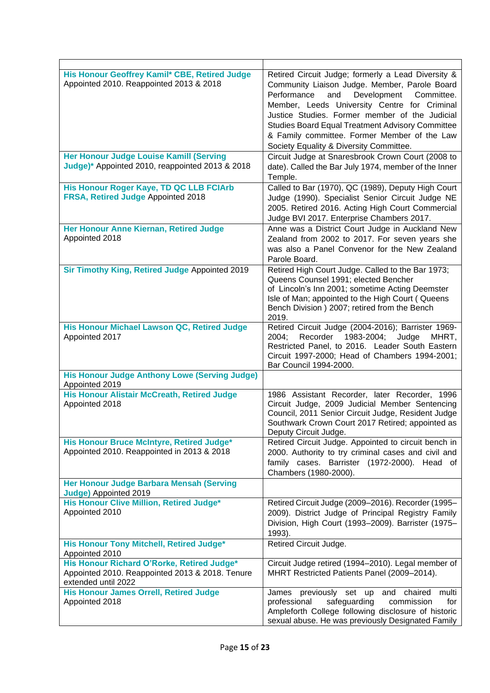| His Honour Geoffrey Kamil* CBE, Retired Judge<br>Appointed 2010. Reappointed 2013 & 2018                             | Retired Circuit Judge; formerly a Lead Diversity &<br>Community Liaison Judge. Member, Parole Board<br>Performance<br>and<br>Development<br>Committee.<br>Member, Leeds University Centre for Criminal<br>Justice Studies. Former member of the Judicial<br><b>Studies Board Equal Treatment Advisory Committee</b><br>& Family committee. Former Member of the Law<br>Society Equality & Diversity Committee. |
|----------------------------------------------------------------------------------------------------------------------|----------------------------------------------------------------------------------------------------------------------------------------------------------------------------------------------------------------------------------------------------------------------------------------------------------------------------------------------------------------------------------------------------------------|
| <b>Her Honour Judge Louise Kamill (Serving</b><br>Judge)* Appointed 2010, reappointed 2013 & 2018                    | Circuit Judge at Snaresbrook Crown Court (2008 to<br>date). Called the Bar July 1974, member of the Inner<br>Temple.                                                                                                                                                                                                                                                                                           |
| His Honour Roger Kaye, TD QC LLB FCIArb<br>FRSA, Retired Judge Appointed 2018                                        | Called to Bar (1970), QC (1989), Deputy High Court<br>Judge (1990). Specialist Senior Circuit Judge NE<br>2005. Retired 2016. Acting High Court Commercial<br>Judge BVI 2017. Enterprise Chambers 2017.                                                                                                                                                                                                        |
| Her Honour Anne Kiernan, Retired Judge<br>Appointed 2018                                                             | Anne was a District Court Judge in Auckland New<br>Zealand from 2002 to 2017. For seven years she<br>was also a Panel Convenor for the New Zealand<br>Parole Board.                                                                                                                                                                                                                                            |
| Sir Timothy King, Retired Judge Appointed 2019                                                                       | Retired High Court Judge. Called to the Bar 1973;<br>Queens Counsel 1991; elected Bencher<br>of Lincoln's Inn 2001; sometime Acting Deemster<br>Isle of Man; appointed to the High Court (Queens<br>Bench Division ) 2007; retired from the Bench<br>2019.                                                                                                                                                     |
| His Honour Michael Lawson QC, Retired Judge<br>Appointed 2017                                                        | Retired Circuit Judge (2004-2016); Barrister 1969-<br>1983-2004;<br>2004;<br>Recorder<br>Judge<br>MHRT,<br>Restricted Panel, to 2016. Leader South Eastern<br>Circuit 1997-2000; Head of Chambers 1994-2001;<br>Bar Council 1994-2000.                                                                                                                                                                         |
| <b>His Honour Judge Anthony Lowe (Serving Judge)</b><br>Appointed 2019                                               |                                                                                                                                                                                                                                                                                                                                                                                                                |
| <b>His Honour Alistair McCreath, Retired Judge</b><br>Appointed 2018                                                 | 1986 Assistant Recorder, later Recorder, 1996<br>Circuit Judge, 2009 Judicial Member Sentencing<br>Council, 2011 Senior Circuit Judge, Resident Judge<br>Southwark Crown Court 2017 Retired; appointed as<br>Deputy Circuit Judge.                                                                                                                                                                             |
| His Honour Bruce McIntyre, Retired Judge*<br>Appointed 2010. Reappointed in 2013 & 2018                              | Retired Circuit Judge. Appointed to circuit bench in<br>2000. Authority to try criminal cases and civil and<br>family cases. Barrister (1972-2000). Head of<br>Chambers (1980-2000).                                                                                                                                                                                                                           |
| Her Honour Judge Barbara Mensah (Serving<br>Judge) Appointed 2019                                                    |                                                                                                                                                                                                                                                                                                                                                                                                                |
| His Honour Clive Million, Retired Judge*<br>Appointed 2010                                                           | Retired Circuit Judge (2009-2016). Recorder (1995-<br>2009). District Judge of Principal Registry Family<br>Division, High Court (1993-2009). Barrister (1975-<br>1993).                                                                                                                                                                                                                                       |
| His Honour Tony Mitchell, Retired Judge*<br>Appointed 2010                                                           | Retired Circuit Judge.                                                                                                                                                                                                                                                                                                                                                                                         |
| His Honour Richard O'Rorke, Retired Judge*<br>Appointed 2010. Reappointed 2013 & 2018. Tenure<br>extended until 2022 | Circuit Judge retired (1994-2010). Legal member of<br>MHRT Restricted Patients Panel (2009-2014).                                                                                                                                                                                                                                                                                                              |
| <b>His Honour James Orrell, Retired Judge</b><br>Appointed 2018                                                      | previously set up<br>James<br>and chaired<br>multi<br>professional<br>safeguarding<br>commission<br>for<br>Ampleforth College following disclosure of historic<br>sexual abuse. He was previously Designated Family                                                                                                                                                                                            |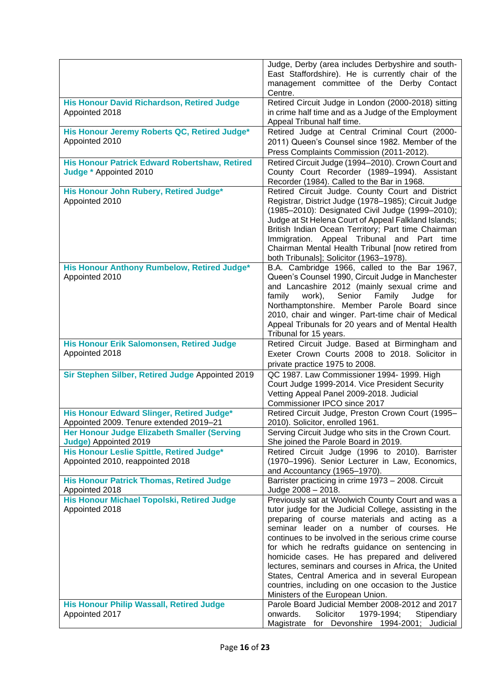|                                                                                      | Judge, Derby (area includes Derbyshire and south-<br>East Staffordshire). He is currently chair of the<br>management committee of the Derby Contact<br>Centre.                                                                                                                                                                                                                                                                                                                                                                                                              |
|--------------------------------------------------------------------------------------|-----------------------------------------------------------------------------------------------------------------------------------------------------------------------------------------------------------------------------------------------------------------------------------------------------------------------------------------------------------------------------------------------------------------------------------------------------------------------------------------------------------------------------------------------------------------------------|
| <b>His Honour David Richardson, Retired Judge</b><br>Appointed 2018                  | Retired Circuit Judge in London (2000-2018) sitting<br>in crime half time and as a Judge of the Employment<br>Appeal Tribunal half time.                                                                                                                                                                                                                                                                                                                                                                                                                                    |
| His Honour Jeremy Roberts QC, Retired Judge*<br>Appointed 2010                       | Retired Judge at Central Criminal Court (2000-<br>2011) Queen's Counsel since 1982. Member of the<br>Press Complaints Commission (2011-2012).                                                                                                                                                                                                                                                                                                                                                                                                                               |
| <b>His Honour Patrick Edward Robertshaw, Retired</b><br>Judge * Appointed 2010       | Retired Circuit Judge (1994-2010). Crown Court and<br>County Court Recorder (1989-1994). Assistant<br>Recorder (1984). Called to the Bar in 1968.                                                                                                                                                                                                                                                                                                                                                                                                                           |
| His Honour John Rubery, Retired Judge*<br>Appointed 2010                             | Retired Circuit Judge. County Court and District<br>Registrar, District Judge (1978-1985); Circuit Judge<br>(1985-2010): Designated Civil Judge (1999-2010);<br>Judge at St Helena Court of Appeal Falkland Islands;<br>British Indian Ocean Territory; Part time Chairman<br>Immigration. Appeal Tribunal and Part time<br>Chairman Mental Health Tribunal [now retired from<br>both Tribunals]; Solicitor (1963-1978).                                                                                                                                                    |
| His Honour Anthony Rumbelow, Retired Judge*<br>Appointed 2010                        | B.A. Cambridge 1966, called to the Bar 1967,<br>Queen's Counsel 1990, Circuit Judge in Manchester<br>and Lancashire 2012 (mainly sexual crime and<br>family<br>Senior<br>work),<br>Family<br>Judge<br>for<br>Northamptonshire. Member Parole Board since<br>2010, chair and winger. Part-time chair of Medical<br>Appeal Tribunals for 20 years and of Mental Health<br>Tribunal for 15 years.                                                                                                                                                                              |
| His Honour Erik Salomonsen, Retired Judge<br>Appointed 2018                          | Retired Circuit Judge. Based at Birmingham and<br>Exeter Crown Courts 2008 to 2018. Solicitor in<br>private practice 1975 to 2008.                                                                                                                                                                                                                                                                                                                                                                                                                                          |
| Sir Stephen Silber, Retired Judge Appointed 2019                                     | QC 1987. Law Commissioner 1994- 1999. High<br>Court Judge 1999-2014. Vice President Security<br>Vetting Appeal Panel 2009-2018. Judicial<br>Commissioner IPCO since 2017                                                                                                                                                                                                                                                                                                                                                                                                    |
| His Honour Edward Slinger, Retired Judge*<br>Appointed 2009. Tenure extended 2019-21 | Retired Circuit Judge, Preston Crown Court (1995-<br>2010). Solicitor, enrolled 1961.                                                                                                                                                                                                                                                                                                                                                                                                                                                                                       |
| Her Honour Judge Elizabeth Smaller (Serving<br>Judge) Appointed 2019                 | Serving Circuit Judge who sits in the Crown Court.<br>She joined the Parole Board in 2019.                                                                                                                                                                                                                                                                                                                                                                                                                                                                                  |
| His Honour Leslie Spittle, Retired Judge*<br>Appointed 2010, reappointed 2018        | Retired Circuit Judge (1996 to 2010). Barrister<br>(1970–1996). Senior Lecturer in Law, Economics,<br>and Accountancy (1965-1970).                                                                                                                                                                                                                                                                                                                                                                                                                                          |
| <b>His Honour Patrick Thomas, Retired Judge</b><br>Appointed 2018                    | Barrister practicing in crime 1973 - 2008. Circuit<br>Judge 2008 - 2018.                                                                                                                                                                                                                                                                                                                                                                                                                                                                                                    |
| His Honour Michael Topolski, Retired Judge<br>Appointed 2018                         | Previously sat at Woolwich County Court and was a<br>tutor judge for the Judicial College, assisting in the<br>preparing of course materials and acting as a<br>seminar leader on a number of courses. He<br>continues to be involved in the serious crime course<br>for which he redrafts guidance on sentencing in<br>homicide cases. He has prepared and delivered<br>lectures, seminars and courses in Africa, the United<br>States, Central America and in several European<br>countries, including on one occasion to the Justice<br>Ministers of the European Union. |
| <b>His Honour Philip Wassall, Retired Judge</b><br>Appointed 2017                    | Parole Board Judicial Member 2008-2012 and 2017<br>Solicitor<br>1979-1994;<br>onwards.<br>Stipendiary<br>for Devonshire 1994-2001; Judicial<br>Magistrate                                                                                                                                                                                                                                                                                                                                                                                                                   |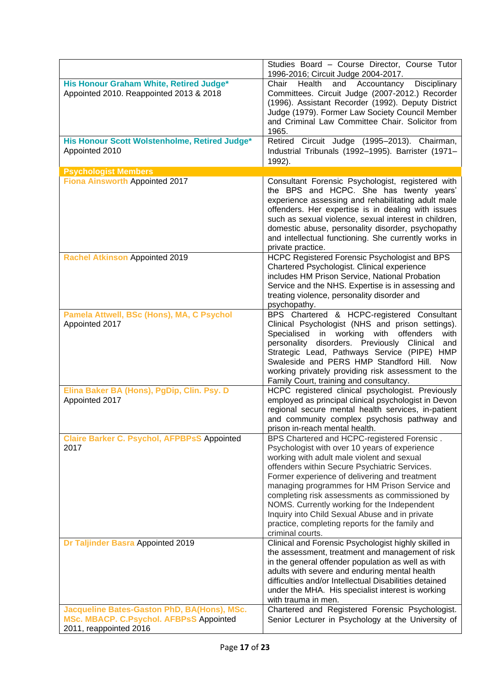|                                                                                                                         | Studies Board - Course Director, Course Tutor<br>1996-2016; Circuit Judge 2004-2017.                                                                                                                                                                                                                                                                                                                                                                                                                                    |
|-------------------------------------------------------------------------------------------------------------------------|-------------------------------------------------------------------------------------------------------------------------------------------------------------------------------------------------------------------------------------------------------------------------------------------------------------------------------------------------------------------------------------------------------------------------------------------------------------------------------------------------------------------------|
| His Honour Graham White, Retired Judge*<br>Appointed 2010. Reappointed 2013 & 2018                                      | Chair<br>Accountancy<br>Health<br>and<br><b>Disciplinary</b><br>Committees. Circuit Judge (2007-2012.) Recorder<br>(1996). Assistant Recorder (1992). Deputy District<br>Judge (1979). Former Law Society Council Member<br>and Criminal Law Committee Chair. Solicitor from<br>1965.                                                                                                                                                                                                                                   |
| His Honour Scott Wolstenholme, Retired Judge*<br>Appointed 2010                                                         | Retired Circuit Judge (1995-2013). Chairman,<br>Industrial Tribunals (1992-1995). Barrister (1971-<br>1992).                                                                                                                                                                                                                                                                                                                                                                                                            |
| <b>Psychologist Members</b>                                                                                             |                                                                                                                                                                                                                                                                                                                                                                                                                                                                                                                         |
| <b>Fiona Ainsworth Appointed 2017</b>                                                                                   | Consultant Forensic Psychologist, registered with<br>the BPS and HCPC. She has twenty years'<br>experience assessing and rehabilitating adult male<br>offenders. Her expertise is in dealing with issues<br>such as sexual violence, sexual interest in children,<br>domestic abuse, personality disorder, psychopathy<br>and intellectual functioning. She currently works in<br>private practice.                                                                                                                     |
| <b>Rachel Atkinson Appointed 2019</b>                                                                                   | HCPC Registered Forensic Psychologist and BPS<br>Chartered Psychologist. Clinical experience<br>includes HM Prison Service, National Probation<br>Service and the NHS. Expertise is in assessing and<br>treating violence, personality disorder and<br>psychopathy.                                                                                                                                                                                                                                                     |
| Pamela Attwell, BSc (Hons), MA, C Psychol<br>Appointed 2017                                                             | BPS Chartered & HCPC-registered Consultant<br>Clinical Psychologist (NHS and prison settings).<br>Specialised in working with<br>offenders<br>with<br>personality disorders. Previously Clinical<br>and<br>Strategic Lead, Pathways Service (PIPE)<br><b>HMP</b><br>Swaleside and PERS HMP Standford Hill.<br><b>Now</b><br>working privately providing risk assessment to the<br>Family Court, training and consultancy.                                                                                               |
| Elina Baker BA (Hons), PgDip, Clin. Psy. D<br>Appointed 2017                                                            | HCPC registered clinical psychologist. Previously<br>employed as principal clinical psychologist in Devon<br>regional secure mental health services, in-patient<br>and community complex psychosis pathway and<br>prison in-reach mental health.                                                                                                                                                                                                                                                                        |
| <b>Claire Barker C. Psychol, AFPBPsS Appointed</b><br>2017                                                              | BPS Chartered and HCPC-registered Forensic.<br>Psychologist with over 10 years of experience<br>working with adult male violent and sexual<br>offenders within Secure Psychiatric Services.<br>Former experience of delivering and treatment<br>managing programmes for HM Prison Service and<br>completing risk assessments as commissioned by<br>NOMS. Currently working for the Independent<br>Inquiry into Child Sexual Abuse and in private<br>practice, completing reports for the family and<br>criminal courts. |
| Dr Taljinder Basra Appointed 2019                                                                                       | Clinical and Forensic Psychologist highly skilled in<br>the assessment, treatment and management of risk<br>in the general offender population as well as with<br>adults with severe and enduring mental health<br>difficulties and/or Intellectual Disabilities detained<br>under the MHA. His specialist interest is working<br>with trauma in men.                                                                                                                                                                   |
| Jacqueline Bates-Gaston PhD, BA(Hons), MSc.<br><b>MSc. MBACP. C.Psychol. AFBPsS Appointed</b><br>2011, reappointed 2016 | Chartered and Registered Forensic Psychologist.<br>Senior Lecturer in Psychology at the University of                                                                                                                                                                                                                                                                                                                                                                                                                   |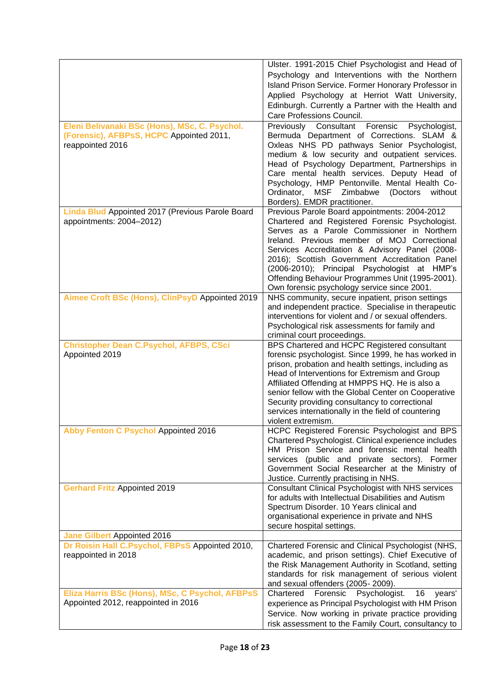|                                                                                                               | Ulster. 1991-2015 Chief Psychologist and Head of<br>Psychology and Interventions with the Northern<br>Island Prison Service. Former Honorary Professor in<br>Applied Psychology at Herriot Watt University,<br>Edinburgh. Currently a Partner with the Health and<br>Care Professions Council.                                                                                                                                                         |
|---------------------------------------------------------------------------------------------------------------|--------------------------------------------------------------------------------------------------------------------------------------------------------------------------------------------------------------------------------------------------------------------------------------------------------------------------------------------------------------------------------------------------------------------------------------------------------|
| Eleni Belivanaki BSc (Hons), MSc, C. Psychol.<br>(Forensic), AFBPsS, HCPC Appointed 2011,<br>reappointed 2016 | Previously Consultant Forensic<br>Psychologist,<br>Bermuda Department of Corrections. SLAM &<br>Oxleas NHS PD pathways Senior Psychologist,<br>medium & low security and outpatient services.<br>Head of Psychology Department, Partnerships in<br>Care mental health services. Deputy Head of<br>Psychology, HMP Pentonville. Mental Health Co-<br>Ordinator, MSF Zimbabwe<br>(Doctors)<br>without<br>Borders). EMDR practitioner.                    |
| Linda Blud Appointed 2017 (Previous Parole Board<br>appointments: 2004-2012)                                  | Previous Parole Board appointments: 2004-2012<br>Chartered and Registered Forensic Psychologist.<br>Serves as a Parole Commissioner in Northern<br>Ireland. Previous member of MOJ Correctional<br>Services Accreditation & Advisory Panel (2008-<br>2016); Scottish Government Accreditation Panel<br>(2006-2010); Principal Psychologist at HMP's<br>Offending Behaviour Programmes Unit (1995-2001).<br>Own forensic psychology service since 2001. |
| Aimee Croft BSc (Hons), ClinPsyD Appointed 2019                                                               | NHS community, secure inpatient, prison settings<br>and independent practice. Specialise in therapeutic<br>interventions for violent and / or sexual offenders.<br>Psychological risk assessments for family and<br>criminal court proceedings.                                                                                                                                                                                                        |
| <b>Christopher Dean C.Psychol, AFBPS, CSci</b><br>Appointed 2019                                              | BPS Chartered and HCPC Registered consultant<br>forensic psychologist. Since 1999, he has worked in<br>prison, probation and health settings, including as<br>Head of Interventions for Extremism and Group<br>Affiliated Offending at HMPPS HQ. He is also a<br>senior fellow with the Global Center on Cooperative<br>Security providing consultancy to correctional<br>services internationally in the field of countering<br>violent extremism.    |
| <b>Abby Fenton C Psychol Appointed 2016</b>                                                                   | HCPC Registered Forensic Psychologist and BPS<br>Chartered Psychologist. Clinical experience includes<br>HM Prison Service and forensic mental health<br>services (public and private sectors). Former<br>Government Social Researcher at the Ministry of<br>Justice. Currently practising in NHS.                                                                                                                                                     |
| <b>Gerhard Fritz Appointed 2019</b>                                                                           | <b>Consultant Clinical Psychologist with NHS services</b><br>for adults with Intellectual Disabilities and Autism<br>Spectrum Disorder. 10 Years clinical and<br>organisational experience in private and NHS<br>secure hospital settings.                                                                                                                                                                                                             |
| <b>Jane Gilbert Appointed 2016</b>                                                                            |                                                                                                                                                                                                                                                                                                                                                                                                                                                        |
| Dr Roisin Hall C.Psychol, FBPsS Appointed 2010,<br>reappointed in 2018                                        | Chartered Forensic and Clinical Psychologist (NHS,<br>academic, and prison settings). Chief Executive of<br>the Risk Management Authority in Scotland, setting<br>standards for risk management of serious violent<br>and sexual offenders (2005-2009).                                                                                                                                                                                                |
| Eliza Harris BSc (Hons), MSc, C Psychol, AFBPsS<br>Appointed 2012, reappointed in 2016                        | Forensic<br>Psychologist.<br>Chartered<br>16<br>years'<br>experience as Principal Psychologist with HM Prison<br>Service. Now working in private practice providing<br>risk assessment to the Family Court, consultancy to                                                                                                                                                                                                                             |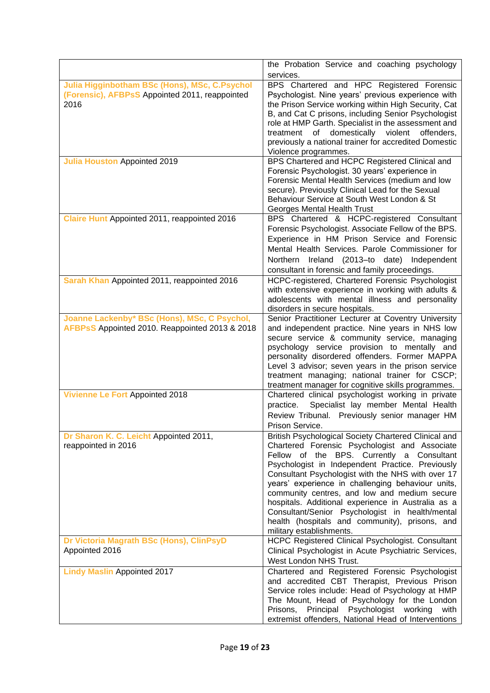|                                                                                                         | the Probation Service and coaching psychology                                                                                                                                                                                                                                                                                                                                                                                                                                                                                                           |
|---------------------------------------------------------------------------------------------------------|---------------------------------------------------------------------------------------------------------------------------------------------------------------------------------------------------------------------------------------------------------------------------------------------------------------------------------------------------------------------------------------------------------------------------------------------------------------------------------------------------------------------------------------------------------|
|                                                                                                         | services.                                                                                                                                                                                                                                                                                                                                                                                                                                                                                                                                               |
| Julia Higginbotham BSc (Hons), MSc, C.Psychol<br>(Forensic), AFBPsS Appointed 2011, reappointed<br>2016 | BPS Chartered and HPC Registered Forensic<br>Psychologist. Nine years' previous experience with<br>the Prison Service working within High Security, Cat<br>B, and Cat C prisons, including Senior Psychologist<br>role at HMP Garth. Specialist in the assessment and<br>violent<br>treatment<br>of domestically<br>offenders,<br>previously a national trainer for accredited Domestic<br>Violence programmes.                                                                                                                                         |
| <b>Julia Houston Appointed 2019</b>                                                                     | BPS Chartered and HCPC Registered Clinical and                                                                                                                                                                                                                                                                                                                                                                                                                                                                                                          |
|                                                                                                         | Forensic Psychologist. 30 years' experience in<br>Forensic Mental Health Services (medium and low<br>secure). Previously Clinical Lead for the Sexual<br>Behaviour Service at South West London & St<br>Georges Mental Health Trust                                                                                                                                                                                                                                                                                                                     |
| Claire Hunt Appointed 2011, reappointed 2016                                                            | BPS Chartered & HCPC-registered Consultant                                                                                                                                                                                                                                                                                                                                                                                                                                                                                                              |
|                                                                                                         | Forensic Psychologist. Associate Fellow of the BPS.<br>Experience in HM Prison Service and Forensic<br>Mental Health Services. Parole Commissioner for<br>Ireland (2013-to date) Independent<br><b>Northern</b><br>consultant in forensic and family proceedings.                                                                                                                                                                                                                                                                                       |
| Sarah Khan Appointed 2011, reappointed 2016                                                             | HCPC-registered, Chartered Forensic Psychologist                                                                                                                                                                                                                                                                                                                                                                                                                                                                                                        |
|                                                                                                         | with extensive experience in working with adults &<br>adolescents with mental illness and personality<br>disorders in secure hospitals.                                                                                                                                                                                                                                                                                                                                                                                                                 |
| Joanne Lackenby* BSc (Hons), MSc, C Psychol,                                                            | Senior Practitioner Lecturer at Coventry University                                                                                                                                                                                                                                                                                                                                                                                                                                                                                                     |
| AFBPsS Appointed 2010. Reappointed 2013 & 2018                                                          | and independent practice. Nine years in NHS low<br>secure service & community service, managing<br>psychology service provision to mentally and<br>personality disordered offenders. Former MAPPA<br>Level 3 advisor; seven years in the prison service<br>treatment managing; national trainer for CSCP;<br>treatment manager for cognitive skills programmes.                                                                                                                                                                                         |
| <b>Vivienne Le Fort Appointed 2018</b>                                                                  | Chartered clinical psychologist working in private<br>Specialist lay member Mental Health<br>practice.<br>Review Tribunal. Previously senior manager HM<br>Prison Service.                                                                                                                                                                                                                                                                                                                                                                              |
| Dr Sharon K. C. Leicht Appointed 2011,<br>reappointed in 2016                                           | British Psychological Society Chartered Clinical and<br>Chartered Forensic Psychologist and Associate<br>Fellow of the BPS. Currently a Consultant<br>Psychologist in Independent Practice. Previously<br>Consultant Psychologist with the NHS with over 17<br>years' experience in challenging behaviour units,<br>community centres, and low and medium secure<br>hospitals. Additional experience in Australia as a<br>Consultant/Senior Psychologist in health/mental<br>health (hospitals and community), prisons, and<br>military establishments. |
| Dr Victoria Magrath BSc (Hons), ClinPsyD                                                                | HCPC Registered Clinical Psychologist. Consultant                                                                                                                                                                                                                                                                                                                                                                                                                                                                                                       |
| Appointed 2016                                                                                          | Clinical Psychologist in Acute Psychiatric Services,<br>West London NHS Trust.                                                                                                                                                                                                                                                                                                                                                                                                                                                                          |
| <b>Lindy Maslin Appointed 2017</b>                                                                      | Chartered and Registered Forensic Psychologist                                                                                                                                                                                                                                                                                                                                                                                                                                                                                                          |
|                                                                                                         | and accredited CBT Therapist, Previous Prison<br>Service roles include: Head of Psychology at HMP<br>The Mount, Head of Psychology for the London<br>Prisons, Principal Psychologist working<br>with<br>extremist offenders, National Head of Interventions                                                                                                                                                                                                                                                                                             |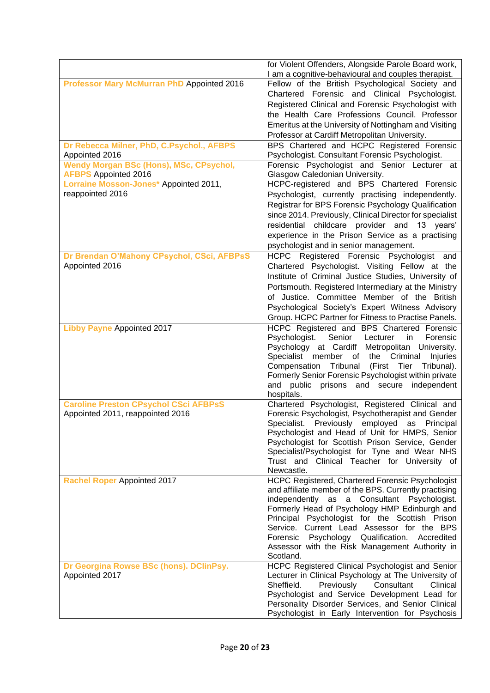|                                                              | for Violent Offenders, Alongside Parole Board work,                                                    |
|--------------------------------------------------------------|--------------------------------------------------------------------------------------------------------|
|                                                              | I am a cognitive-behavioural and couples therapist.                                                    |
| <b>Professor Mary McMurran PhD Appointed 2016</b>            | Fellow of the British Psychological Society and                                                        |
|                                                              | Chartered Forensic and Clinical Psychologist.                                                          |
|                                                              | Registered Clinical and Forensic Psychologist with                                                     |
|                                                              | the Health Care Professions Council. Professor                                                         |
|                                                              | Emeritus at the University of Nottingham and Visiting                                                  |
|                                                              | Professor at Cardiff Metropolitan University.                                                          |
| Dr Rebecca Milner, PhD, C.Psychol., AFBPS                    | BPS Chartered and HCPC Registered Forensic                                                             |
| Appointed 2016<br>Wendy Morgan BSc (Hons), MSc, CPsychol,    | Psychologist. Consultant Forensic Psychologist.<br>Forensic Psychologist and Senior Lecturer at        |
| <b>AFBPS</b> Appointed 2016                                  | Glasgow Caledonian University.                                                                         |
| Lorraine Mosson-Jones* Appointed 2011,                       | HCPC-registered and BPS Chartered Forensic                                                             |
| reappointed 2016                                             | Psychologist, currently practising independently.                                                      |
|                                                              | Registrar for BPS Forensic Psychology Qualification                                                    |
|                                                              | since 2014. Previously, Clinical Director for specialist                                               |
|                                                              | residential childcare provider and 13 years'                                                           |
|                                                              | experience in the Prison Service as a practising                                                       |
|                                                              | psychologist and in senior management.                                                                 |
| Dr Brendan O'Mahony CPsychol, CSci, AFBPsS<br>Appointed 2016 | HCPC Registered Forensic Psychologist and                                                              |
|                                                              | Chartered Psychologist. Visiting Fellow at the                                                         |
|                                                              | Institute of Criminal Justice Studies, University of                                                   |
|                                                              | Portsmouth. Registered Intermediary at the Ministry<br>of Justice. Committee Member of the British     |
|                                                              | Psychological Society's Expert Witness Advisory                                                        |
|                                                              | Group. HCPC Partner for Fitness to Practise Panels.                                                    |
| <b>Libby Payne Appointed 2017</b>                            | HCPC Registered and BPS Chartered Forensic                                                             |
|                                                              | Senior<br>Psychologist.<br>Lecturer<br>in<br>Forensic                                                  |
|                                                              | Psychology at Cardiff Metropolitan<br>University.                                                      |
|                                                              | Specialist member of the Criminal<br>Injuries                                                          |
|                                                              | Compensation<br>Tribunal<br>(First Tier<br>Tribunal).                                                  |
|                                                              | Formerly Senior Forensic Psychologist within private                                                   |
|                                                              | public prisons and secure independent<br>and                                                           |
|                                                              | hospitals.                                                                                             |
| <b>Caroline Preston CPsychol CSci AFBPsS</b>                 | Chartered Psychologist, Registered Clinical and<br>Forensic Psychologist, Psychotherapist and Gender   |
| Appointed 2011, reappointed 2016                             | Specialist.<br>Previously employed as<br>Principal                                                     |
|                                                              | Psychologist and Head of Unit for HMPS, Senior                                                         |
|                                                              | Psychologist for Scottish Prison Service, Gender                                                       |
|                                                              | Specialist/Psychologist for Tyne and Wear NHS                                                          |
|                                                              | Trust and Clinical Teacher for University of                                                           |
|                                                              | Newcastle.                                                                                             |
| <b>Rachel Roper Appointed 2017</b>                           | HCPC Registered, Chartered Forensic Psychologist                                                       |
|                                                              | and affiliate member of the BPS. Currently practising                                                  |
|                                                              | independently as a Consultant Psychologist.<br>Formerly Head of Psychology HMP Edinburgh and           |
|                                                              | Principal Psychologist for the Scottish Prison                                                         |
|                                                              | Service. Current Lead Assessor for the BPS                                                             |
|                                                              | Forensic Psychology Qualification.<br>Accredited                                                       |
|                                                              | Assessor with the Risk Management Authority in                                                         |
|                                                              | Scotland.                                                                                              |
| Dr Georgina Rowse BSc (hons). DClinPsy.                      | HCPC Registered Clinical Psychologist and Senior                                                       |
| Appointed 2017                                               | Lecturer in Clinical Psychology at The University of                                                   |
|                                                              | Sheffield.<br>Previously<br>Consultant<br>Clinical                                                     |
|                                                              | Psychologist and Service Development Lead for                                                          |
|                                                              | Personality Disorder Services, and Senior Clinical<br>Psychologist in Early Intervention for Psychosis |
|                                                              |                                                                                                        |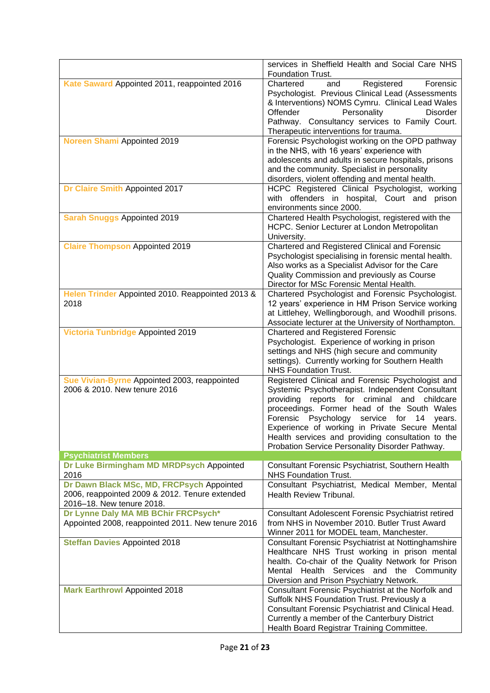|                                                                                                                          | services in Sheffield Health and Social Care NHS<br>Foundation Trust.                                                                                                                                                                                                                                                                                                                                       |
|--------------------------------------------------------------------------------------------------------------------------|-------------------------------------------------------------------------------------------------------------------------------------------------------------------------------------------------------------------------------------------------------------------------------------------------------------------------------------------------------------------------------------------------------------|
| Kate Saward Appointed 2011, reappointed 2016                                                                             | Chartered<br>Forensic<br>Registered<br>and<br>Psychologist. Previous Clinical Lead (Assessments<br>& Interventions) NOMS Cymru. Clinical Lead Wales<br>Offender<br>Personality<br><b>Disorder</b><br>Pathway. Consultancy services to Family Court.<br>Therapeutic interventions for trauma.                                                                                                                |
| <b>Noreen Shami Appointed 2019</b>                                                                                       | Forensic Psychologist working on the OPD pathway<br>in the NHS, with 16 years' experience with<br>adolescents and adults in secure hospitals, prisons<br>and the community. Specialist in personality<br>disorders, violent offending and mental health.                                                                                                                                                    |
| Dr Claire Smith Appointed 2017                                                                                           | HCPC Registered Clinical Psychologist, working<br>with offenders in hospital, Court and prison<br>environments since 2000.                                                                                                                                                                                                                                                                                  |
| <b>Sarah Snuggs Appointed 2019</b>                                                                                       | Chartered Health Psychologist, registered with the<br>HCPC. Senior Lecturer at London Metropolitan<br>University.                                                                                                                                                                                                                                                                                           |
| <b>Claire Thompson Appointed 2019</b>                                                                                    | Chartered and Registered Clinical and Forensic<br>Psychologist specialising in forensic mental health.<br>Also works as a Specialist Advisor for the Care<br>Quality Commission and previously as Course<br>Director for MSc Forensic Mental Health.                                                                                                                                                        |
| Helen Trinder Appointed 2010. Reappointed 2013 &<br>2018                                                                 | Chartered Psychologist and Forensic Psychologist.<br>12 years' experience in HM Prison Service working<br>at Littlehey, Wellingborough, and Woodhill prisons.<br>Associate lecturer at the University of Northampton.                                                                                                                                                                                       |
| <b>Victoria Tunbridge Appointed 2019</b>                                                                                 | Chartered and Registered Forensic<br>Psychologist. Experience of working in prison<br>settings and NHS (high secure and community<br>settings). Currently working for Southern Health<br><b>NHS Foundation Trust.</b>                                                                                                                                                                                       |
| Sue Vivian-Byrne Appointed 2003, reappointed<br>2006 & 2010. New tenure 2016                                             | Registered Clinical and Forensic Psychologist and<br>Systemic Psychotherapist. Independent Consultant<br>providing reports for criminal and childcare<br>proceedings. Former head of the South Wales<br>Forensic Psychology service for 14 years.<br>Experience of working in Private Secure Mental<br>Health services and providing consultation to the<br>Probation Service Personality Disorder Pathway. |
| <b>Psychiatrist Members</b>                                                                                              |                                                                                                                                                                                                                                                                                                                                                                                                             |
| Dr Luke Birmingham MD MRDPsych Appointed<br>2016                                                                         | Consultant Forensic Psychiatrist, Southern Health<br><b>NHS Foundation Trust.</b>                                                                                                                                                                                                                                                                                                                           |
| Dr Dawn Black MSc, MD, FRCPsych Appointed<br>2006, reappointed 2009 & 2012. Tenure extended<br>2016-18. New tenure 2018. | Consultant Psychiatrist, Medical Member, Mental<br><b>Health Review Tribunal.</b>                                                                                                                                                                                                                                                                                                                           |
| Dr Lynne Daly MA MB BChir FRCPsych*<br>Appointed 2008, reappointed 2011. New tenure 2016                                 | <b>Consultant Adolescent Forensic Psychiatrist retired</b><br>from NHS in November 2010. Butler Trust Award<br>Winner 2011 for MODEL team, Manchester.                                                                                                                                                                                                                                                      |
| <b>Steffan Davies Appointed 2018</b>                                                                                     | <b>Consultant Forensic Psychiatrist at Nottinghamshire</b><br>Healthcare NHS Trust working in prison mental<br>health. Co-chair of the Quality Network for Prison<br>Mental Health Services and the Community<br>Diversion and Prison Psychiatry Network.                                                                                                                                                   |
| <b>Mark Earthrowl Appointed 2018</b>                                                                                     | Consultant Forensic Psychiatrist at the Norfolk and<br>Suffolk NHS Foundation Trust. Previously a<br>Consultant Forensic Psychiatrist and Clinical Head.<br>Currently a member of the Canterbury District<br>Health Board Registrar Training Committee.                                                                                                                                                     |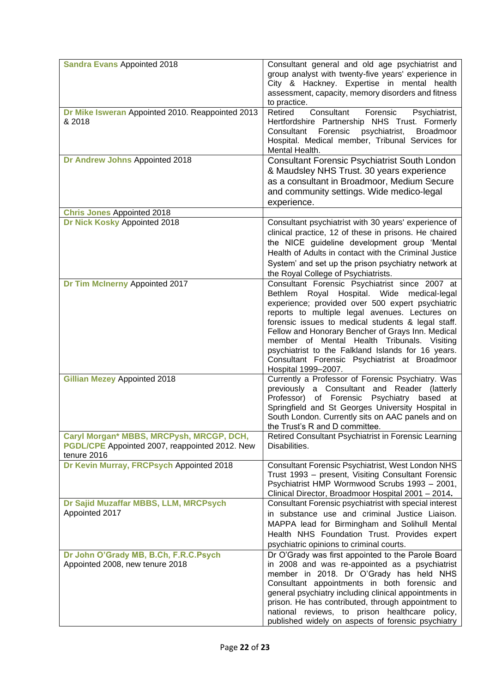| <b>Sandra Evans Appointed 2018</b>                                                                        | Consultant general and old age psychiatrist and<br>group analyst with twenty-five years' experience in<br>City & Hackney. Expertise in mental health<br>assessment, capacity, memory disorders and fitness<br>to practice.                                                                                                                                                                                                                                                                    |
|-----------------------------------------------------------------------------------------------------------|-----------------------------------------------------------------------------------------------------------------------------------------------------------------------------------------------------------------------------------------------------------------------------------------------------------------------------------------------------------------------------------------------------------------------------------------------------------------------------------------------|
| Dr Mike Isweran Appointed 2010. Reappointed 2013<br>& 2018                                                | Retired<br>Consultant<br>Forensic<br>Psychiatrist,<br>Hertfordshire Partnership NHS Trust. Formerly<br>Forensic<br>psychiatrist,<br>Consultant<br><b>Broadmoor</b><br>Hospital. Medical member, Tribunal Services for<br>Mental Health.                                                                                                                                                                                                                                                       |
| Dr Andrew Johns Appointed 2018                                                                            | <b>Consultant Forensic Psychiatrist South London</b><br>& Maudsley NHS Trust. 30 years experience<br>as a consultant in Broadmoor, Medium Secure<br>and community settings. Wide medico-legal<br>experience.                                                                                                                                                                                                                                                                                  |
| <b>Chris Jones Appointed 2018</b>                                                                         |                                                                                                                                                                                                                                                                                                                                                                                                                                                                                               |
| Dr Nick Kosky Appointed 2018                                                                              | Consultant psychiatrist with 30 years' experience of<br>clinical practice, 12 of these in prisons. He chaired<br>the NICE guideline development group 'Mental<br>Health of Adults in contact with the Criminal Justice<br>System' and set up the prison psychiatry network at<br>the Royal College of Psychiatrists.                                                                                                                                                                          |
| Dr Tim McInerny Appointed 2017                                                                            | Consultant Forensic Psychiatrist since 2007 at<br>Bethlem Royal Hospital. Wide<br>medical-legal<br>experience; provided over 500 expert psychiatric<br>reports to multiple legal avenues. Lectures on<br>forensic issues to medical students & legal staff.<br>Fellow and Honorary Bencher of Grays Inn. Medical<br>member of Mental Health Tribunals. Visiting<br>psychiatrist to the Falkland Islands for 16 years.<br>Consultant Forensic Psychiatrist at Broadmoor<br>Hospital 1999-2007. |
| <b>Gillian Mezey Appointed 2018</b>                                                                       | Currently a Professor of Forensic Psychiatry. Was<br>previously a Consultant and Reader (latterly<br>Professor) of Forensic Psychiatry based at<br>Springfield and St Georges University Hospital in<br>South London. Currently sits on AAC panels and on<br>the Trust's R and D committee.                                                                                                                                                                                                   |
| Caryl Morgan* MBBS, MRCPysh, MRCGP, DCH,<br>PGDL/CPE Appointed 2007, reappointed 2012. New<br>tenure 2016 | Retired Consultant Psychiatrist in Forensic Learning<br>Disabilities.                                                                                                                                                                                                                                                                                                                                                                                                                         |
| Dr Kevin Murray, FRCPsych Appointed 2018                                                                  | <b>Consultant Forensic Psychiatrist, West London NHS</b><br>Trust 1993 - present, Visiting Consultant Forensic<br>Psychiatrist HMP Wormwood Scrubs 1993 - 2001,<br>Clinical Director, Broadmoor Hospital 2001 - 2014.                                                                                                                                                                                                                                                                         |
| Dr Sajid Muzaffar MBBS, LLM, MRCPsych<br>Appointed 2017                                                   | Consultant Forensic psychiatrist with special interest<br>in substance use and criminal Justice Liaison.<br>MAPPA lead for Birmingham and Solihull Mental<br>Health NHS Foundation Trust. Provides expert<br>psychiatric opinions to criminal courts.                                                                                                                                                                                                                                         |
| Dr John O'Grady MB, B.Ch, F.R.C.Psych<br>Appointed 2008, new tenure 2018                                  | Dr O'Grady was first appointed to the Parole Board<br>in 2008 and was re-appointed as a psychiatrist<br>member in 2018. Dr O'Grady has held NHS<br>Consultant appointments in both forensic and<br>general psychiatry including clinical appointments in<br>prison. He has contributed, through appointment to<br>national reviews, to prison healthcare policy,<br>published widely on aspects of forensic psychiatry                                                                        |